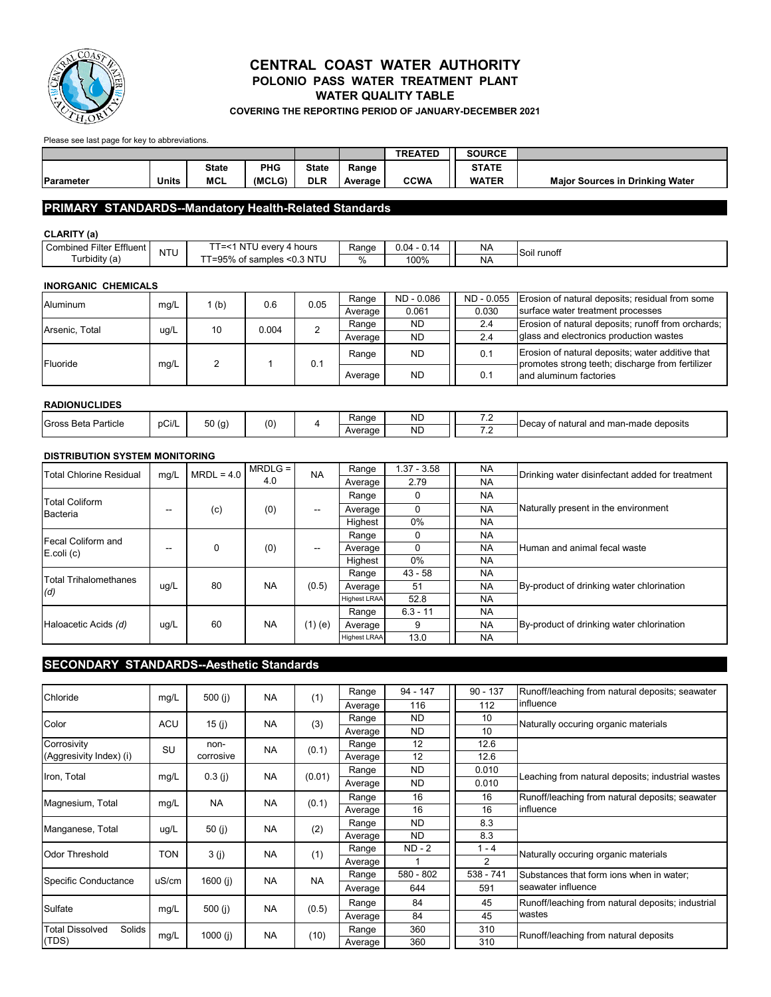

## **WATER QUALITY TABLE CENTRAL COAST WATER AUTHORITY POLONIO PASS WATER TREATMENT PLANT**

**COVERING THE REPORTING PERIOD OF JANUARY-DECEMBER 2021**

Please see last page for key to abbreviations.

|                  |       |              |        |              |         | <b>TREATED</b> | <b>SOURCE</b> |                                        |
|------------------|-------|--------------|--------|--------------|---------|----------------|---------------|----------------------------------------|
|                  |       | <b>State</b> | PHG    | <b>State</b> | Range   |                | <b>STATE</b>  |                                        |
| <b>Parameter</b> | Units | <b>MCL</b>   | (MCLG) | <b>DLR</b>   | Average | <b>CCWA</b>    | <b>WATER</b>  | <b>Maior Sources in Drinking Water</b> |

### **PRIMARY STANDARDS--Mandatory Health-Related Standards**

#### **CLARITY (a)**

| Effluent<br>∽<br>Filter<br>Combined | $\overline{\phantom{a}}$ | $\overline{\phantom{a}}$<br>. NT'<br>hours -<br>everv<br>$\overline{\phantom{a}}$ | Range | J.04<br>$\overline{ }$<br>v. | NA | -Soil runoff |
|-------------------------------------|--------------------------|-----------------------------------------------------------------------------------|-------|------------------------------|----|--------------|
| .<br>. urbidity (ə`                 | N L                      | $\sim -$<br>:0.3 NTU<br>samples<br>╭<br>ັບເ<br>ື                                  |       | 100%                         | NÆ |              |

### **INORGANIC CHEMICALS**

| Aluminum       | mq/L | (b) | 0.6   | 0.05 | Range   | ND - 0.086 | ND - 0.055 | Erosion of natural deposits; residual from some                                                      |
|----------------|------|-----|-------|------|---------|------------|------------|------------------------------------------------------------------------------------------------------|
|                |      |     |       |      | Average | 0.061      | 0.030      | surface water treatment processes                                                                    |
| Arsenic, Total | ug/L | 10  | 0.004 |      | Range   | <b>ND</b>  | 2.4        | Erosion of natural deposits; runoff from orchards;                                                   |
|                |      |     |       |      | Average | <b>ND</b>  | 2.4        | glass and electronics production wastes                                                              |
| Fluoride       | mq/L |     |       | 0.1  | Range   | <b>ND</b>  | 0.1        | Erosion of natural deposits; water additive that<br>promotes strong teeth; discharge from fertilizer |
|                |      |     |       |      | Average | <b>ND</b>  | 0.1        | and aluminum factories                                                                               |

#### **RADIONUCLIDES**

| .                         |       |       |     |                   |           |                          |                                                  |
|---------------------------|-------|-------|-----|-------------------|-----------|--------------------------|--------------------------------------------------|
| Gross<br>Particle<br>Beta | pCi/L | 50(g) | (0) | Range             | ND        | -<br>                    | ! man-made deposits_<br>⊩Decav of natural<br>ond |
|                           |       |       |     | Average<br>$\sim$ | <b>ND</b> | $\overline{\phantom{a}}$ | an                                               |

### **DISTRIBUTION SYSTEM MONITORING**

| Total Chlorine Residual | mg/L              | $MRDL = 4.0$ | $MRDLG =$ | <b>NA</b> | Range               | $1.37 - 3.58$ | <b>NA</b> | Drinking water disinfectant added for treatment |
|-------------------------|-------------------|--------------|-----------|-----------|---------------------|---------------|-----------|-------------------------------------------------|
|                         |                   |              | 4.0       |           | Average             | 2.79          | <b>NA</b> |                                                 |
| <b>Total Coliform</b>   |                   |              |           |           | Range               |               | <b>NA</b> |                                                 |
| Bacteria                | --                | (c)          | (0)       | --        | Average             |               | <b>NA</b> | Naturally present in the environment            |
|                         |                   |              |           |           | Highest             | 0%            | <b>NA</b> |                                                 |
| Fecal Coliform and      |                   |              |           |           | Range               |               | <b>NA</b> |                                                 |
| $E.$ coli $(c)$         | $\hspace{0.05cm}$ | 0            | (0)       | --        | Average             |               | <b>NA</b> | Human and animal fecal waste                    |
|                         |                   |              |           |           | Highest             | 0%            | <b>NA</b> |                                                 |
| Total Trihalomethanes   |                   |              |           |           | Range               | $43 - 58$     | <b>NA</b> |                                                 |
| (d)                     | ug/L              | 80           | <b>NA</b> | (0.5)     | Average             | 51            | <b>NA</b> | By-product of drinking water chlorination       |
|                         |                   |              |           |           | <b>Highest LRAA</b> | 52.8          | <b>NA</b> |                                                 |
|                         |                   |              |           |           | Range               | $6.3 - 11$    | <b>NA</b> |                                                 |
| Haloacetic Acids (d)    | ug/L              | 60           | <b>NA</b> | $(1)$ (e) | Average             | 9             | <b>NA</b> | By-product of drinking water chlorination       |
|                         |                   |              |           |           | <b>Highest LRAA</b> | 13.0          | <b>NA</b> |                                                 |

### **SECONDARY STANDARDS--Aesthetic Standards**

| Chloride                         | mg/L       | 500 $(i)$  | <b>NA</b> | (1)       | Range   | $94 - 147$ | $90 - 137$     | Runoff/leaching from natural deposits; seawater   |
|----------------------------------|------------|------------|-----------|-----------|---------|------------|----------------|---------------------------------------------------|
|                                  |            |            |           |           | Average | 116        | 112            | influence                                         |
| Color                            | <b>ACU</b> | 15 $(i)$   | <b>NA</b> | (3)       | Range   | <b>ND</b>  | 10             | Naturally occuring organic materials              |
|                                  |            |            |           |           | Average | <b>ND</b>  | 10             |                                                   |
| Corrosivity                      | SU         | non-       | <b>NA</b> | (0.1)     | Range   | 12         | 12.6           |                                                   |
| (Aggresivity Index) (i)          |            | corrosive  |           |           | Average | 12         | 12.6           |                                                   |
|                                  |            |            |           |           | Range   | <b>ND</b>  | 0.010          |                                                   |
| Iron, Total                      | mg/L       | $0.3$ (i)  | <b>NA</b> | (0.01)    | Average | <b>ND</b>  | 0.010          | Leaching from natural deposits; industrial wastes |
| Magnesium, Total                 |            | <b>NA</b>  | <b>NA</b> | (0.1)     | Range   | 16         | 16             | Runoff/leaching from natural deposits; seawater   |
|                                  | mg/L       |            |           |           | Average | 16         | 16             | influence                                         |
| Manganese, Total                 |            | 50 $(i)$   | <b>NA</b> |           | Range   | <b>ND</b>  | 8.3            |                                                   |
|                                  | ug/L       |            |           | (2)       | Average | ND.        | 8.3            |                                                   |
| Odor Threshold                   | <b>TON</b> | 3(j)       | <b>NA</b> | (1)       | Range   | ND - 2     | $1 - 4$        | Naturally occuring organic materials              |
|                                  |            |            |           |           | Average |            | $\overline{2}$ |                                                   |
|                                  |            |            |           |           | Range   | 580 - 802  | 538 - 741      | Substances that form ions when in water;          |
| Specific Conductance             | uS/cm      | 1600 $(i)$ | <b>NA</b> | <b>NA</b> | Average | 644        | 591            | seawater influence                                |
| Sulfate                          | mg/L       | 500 $(i)$  | <b>NA</b> | (0.5)     | Range   | 84         | 45             | Runoff/leaching from natural deposits; industrial |
|                                  |            |            |           |           | Average | 84         | 45             | wastes                                            |
| <b>Total Dissolved</b><br>Solids |            |            |           |           | Range   | 360        | 310            | Runoff/leaching from natural deposits             |
| (TDS)                            | mg/L       | 1000(i)    | <b>NA</b> | (10)      | Average | 360        | 310            |                                                   |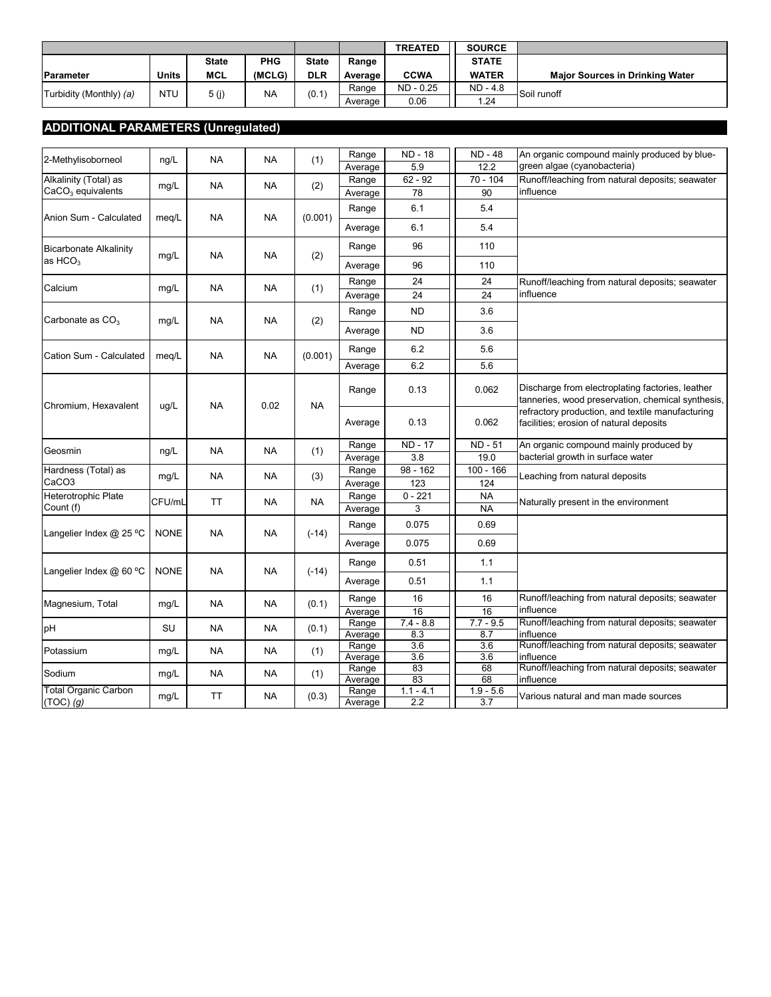|                         |            |              |           |              |         | <b>TREATED</b> | <b>SOURCE</b> |                                        |
|-------------------------|------------|--------------|-----------|--------------|---------|----------------|---------------|----------------------------------------|
|                         |            | <b>State</b> | PHG       | <b>State</b> | Range   |                | <b>STATE</b>  |                                        |
| <b>IParameter</b>       | Units      | <b>MCL</b>   | (MCLG)    | <b>DLR</b>   | Average | <b>CCWA</b>    | <b>WATER</b>  | <b>Maior Sources in Drinking Water</b> |
| Turbidity (Monthly) (a) | <b>NTU</b> | 5 (j)        | <b>NA</b> | (0.1)        | Range   | ND - 0.25      | $ND - 4.8$    | Soil runoff                            |
|                         |            |              |           |              | Average | 0.06           | 1.24          |                                        |

# **ADDITIONAL PARAMETERS (Unregulated)**

| 2-Methylisoborneol                           | ng/L        | NA        | <b>NA</b> | (1)       | Range            | <b>ND - 18</b>     | <b>ND - 48</b>                                                                              | An organic compound mainly produced by blue-                                                          |
|----------------------------------------------|-------------|-----------|-----------|-----------|------------------|--------------------|---------------------------------------------------------------------------------------------|-------------------------------------------------------------------------------------------------------|
|                                              |             |           |           |           | Average          | 5.9                | 12.2                                                                                        | green algae (cyanobacteria)                                                                           |
| Alkalinity (Total) as<br>$CaCO3$ equivalents | mg/L        | NA        | <b>NA</b> | (2)       | Range<br>Average | $62 - 92$<br>78    | 70 - 104<br>90                                                                              | Runoff/leaching from natural deposits; seawater<br>influence                                          |
|                                              |             |           |           |           | Range            | 6.1                | 5.4                                                                                         |                                                                                                       |
| Anion Sum - Calculated                       | meg/L       | NA        | NA        | (0.001)   |                  |                    |                                                                                             |                                                                                                       |
|                                              |             |           |           |           | Average          | 6.1                | 5.4                                                                                         |                                                                                                       |
| <b>Bicarbonate Alkalinity</b>                | mg/L        | NA        | <b>NA</b> | (2)       | Range            | 96                 | 110                                                                                         |                                                                                                       |
| as $HCO3$                                    |             |           |           |           | Average          | 96                 | 110                                                                                         |                                                                                                       |
| Calcium                                      |             | <b>NA</b> | <b>NA</b> | (1)       | Range            | 24                 | 24                                                                                          | Runoff/leaching from natural deposits; seawater                                                       |
|                                              | mg/L        |           |           |           | Average          | 24                 | 24                                                                                          | influence                                                                                             |
|                                              |             |           |           |           | Range            | <b>ND</b>          | 3.6                                                                                         |                                                                                                       |
| Carbonate as $CO3$                           | mg/L        | NA        | NA        | (2)       | Average          | <b>ND</b>          | 3.6                                                                                         |                                                                                                       |
| Cation Sum - Calculated                      |             | <b>NA</b> | <b>NA</b> | (0.001)   | Range            | 6.2                | 5.6                                                                                         |                                                                                                       |
|                                              | meq/L       |           |           |           | Average          | 6.2                | 5.6                                                                                         |                                                                                                       |
| Chromium, Hexavalent                         |             | <b>NA</b> | 0.02      | <b>NA</b> | Range            | 0.13               | 0.062                                                                                       | Discharge from electroplating factories, leather<br>tanneries, wood preservation, chemical synthesis, |
|                                              | ug/L        |           |           | Average   | 0.13             | 0.062              | refractory production, and textile manufacturing<br>facilities; erosion of natural deposits |                                                                                                       |
| Geosmin                                      | ng/L        | <b>NA</b> | <b>NA</b> | (1)       | Range            | <b>ND - 17</b>     | ND - 51                                                                                     | An organic compound mainly produced by                                                                |
|                                              |             |           |           |           | Average          | 3.8                | 19.0                                                                                        | bacterial growth in surface water                                                                     |
| Hardness (Total) as<br>CaCO <sub>3</sub>     | mg/L        | <b>NA</b> | NA        | (3)       | Range<br>Average | 98 - 162<br>123    | $100 - 166$<br>124                                                                          | Leaching from natural deposits                                                                        |
| Heterotrophic Plate                          |             |           |           |           | Range            | $0 - 221$          | <b>NA</b>                                                                                   |                                                                                                       |
| Count (f)                                    | CFU/mL      | <b>TT</b> | <b>NA</b> | <b>NA</b> | Average          | 3                  | <b>NA</b>                                                                                   | Naturally present in the environment                                                                  |
|                                              |             |           |           |           | Range            | 0.075              | 0.69                                                                                        |                                                                                                       |
| Langelier Index @ 25 °C                      | <b>NONE</b> | <b>NA</b> | <b>NA</b> | $(-14)$   | Average          | 0.075              | 0.69                                                                                        |                                                                                                       |
|                                              |             |           |           |           | Range            | 0.51               | 1.1                                                                                         |                                                                                                       |
| Langelier Index @ 60 °C                      | <b>NONE</b> | <b>NA</b> | <b>NA</b> | $(-14)$   | Average          | 0.51               | 1.1                                                                                         |                                                                                                       |
| Magnesium, Total                             | mg/L        | <b>NA</b> | <b>NA</b> | (0.1)     | Range            | 16                 | 16                                                                                          | Runoff/leaching from natural deposits; seawater                                                       |
|                                              |             |           |           |           | Average          | 16                 | 16                                                                                          | influence                                                                                             |
| pH                                           | SU          | <b>NA</b> | <b>NA</b> | (0.1)     | Range<br>Average | $7.4 - 8.8$<br>8.3 | $7.7 - 9.5$<br>8.7                                                                          | Runoff/leaching from natural deposits; seawater<br>influence                                          |
| Potassium                                    | mg/L        | <b>NA</b> | <b>NA</b> | (1)       | Range            | $\overline{3.6}$   | $\overline{3.6}$                                                                            | Runoff/leaching from natural deposits; seawater                                                       |
|                                              |             |           |           |           | Average<br>Range | 3.6<br>83          | 3.6<br>68                                                                                   | influence<br>Runoff/leaching from natural deposits; seawater                                          |
| Sodium                                       | mg/L        | <b>NA</b> | <b>NA</b> | (1)       | Average          | 83                 | 68                                                                                          | influence                                                                                             |
| <b>Total Organic Carbon</b><br>$(TOC)$ (g)   | mg/L        | <b>TT</b> | <b>NA</b> | (0.3)     | Range<br>Average | $1.1 - 4.1$<br>2.2 | $1.9 - 5.6$<br>3.7                                                                          | Various natural and man made sources                                                                  |
|                                              |             |           |           |           |                  |                    |                                                                                             |                                                                                                       |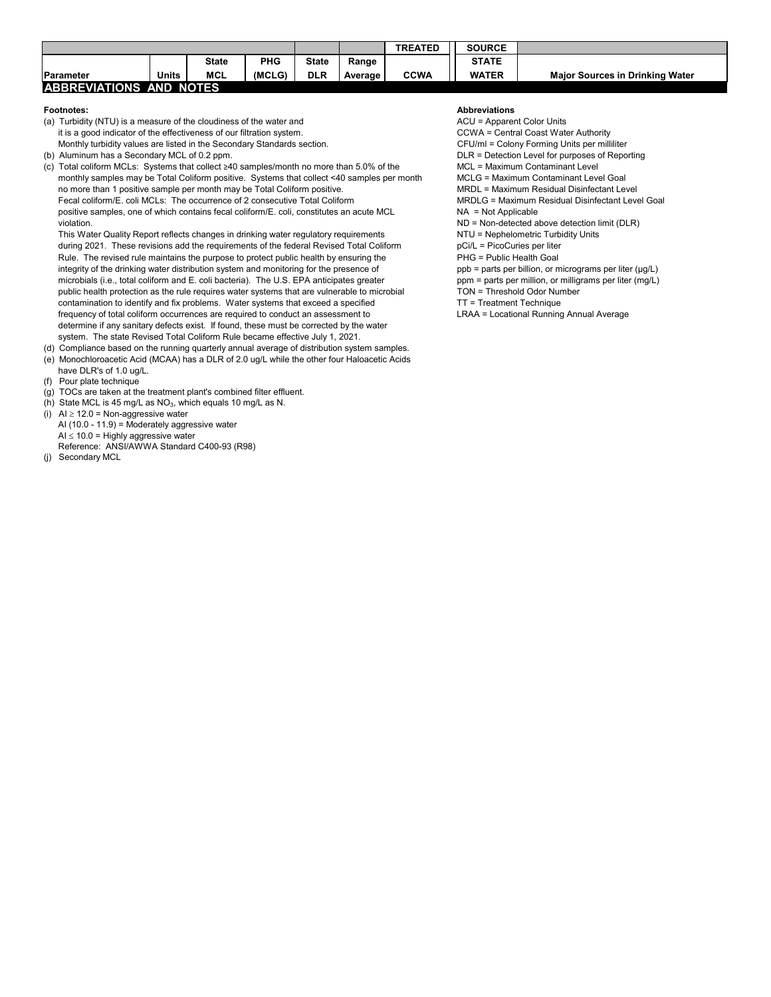|                         |       |              |            |              |         | <b>TREATED</b> | <b>SOURCE</b> |                                        |
|-------------------------|-------|--------------|------------|--------------|---------|----------------|---------------|----------------------------------------|
|                         |       | <b>State</b> | <b>PHG</b> | <b>State</b> | Range   |                | <b>STATE</b>  |                                        |
| <b>IParameter</b>       | Units | <b>MCL</b>   | (MCLG)     | <b>DLR</b>   | Average | <b>CCWA</b>    | <b>WATER</b>  | <b>Maior Sources in Drinking Water</b> |
| ABBREVIATIONS AND NOTES |       |              |            |              |         |                |               |                                        |

- (a) Turbidity (NTU) is a measure of the cloudiness of the water and ACU = Apparent Color Units it is a good indicator of the effectiveness of our filtration system.<br>Monthly turbidity values are listed in the Secondary Standards section.<br>CFU/ml = Colony Forming Units per milliliter Monthly turbidity values are listed in the Secondary Standards section.
- (b) Aluminum has a Secondary MCL of 0.2 ppm. Durange of Reporting the Secondary MCL of 0.2 ppm. DLR = Detection Level for purposes of Reporting
- (c) Total coliform MCLs: Systems that collect ≥40 samples/month no more than 5.0% of the MCL = Maximum Contaminant Level Goal<br>MCLG = Maximum Contaminant Level Goal Coliform positive. Systems that collect <40 samples per m monthly samples may be Total Coliform positive. Systems that collect <40 samples per month no more than 1 positive sample per month may be Total Coliform positive. MRDL = Maximum Residual Disinfectant Level Fecal coliform/E. coli MCLs: The occurrence of 2 consecutive Total Coliform MRDLG = Maximum Residual Disinfectant Level Goal positive samples, one of which contains fecal coliform/E. coli, constitutes an acute MCL NA = Not Applicable violation. ND = Non-detected above detection limit (DLR)

This Water Quality Report reflects changes in drinking water regulatory requirements NTU = Nephelometric Turbidity Units during 2021. These revisions add the requirements of the federal Revised Total Coliform pCi/L = PicoCuries per liter Rule. The revised rule maintains the purpose to protect public health by ensuring the PHG = Public Health Goal integrity of the drinking water distribution system and monitoring for the presence of ppb = parts per billion, or micrograms per liter (µg/L)<br>microbials (i.e., total coliform and E. coli bacteria). The U.S. EPA anticipate microbials (i.e., total coliform and E. coli bacteria). The U.S. EPA anticipates greater public health protection as the rule requires water systems that are vulnerable to microbial TON = Threshold Odor Number contamination to identify and fix problems. Water systems that exceed a specified TT = Treatment Technique frequency of total coliform occurrences are required to conduct an assessment to LRAA = Locational Running Annual Average determine if any sanitary defects exist. If found, these must be corrected by the water system. The state Revised Total Coliform Rule became effective July 1, 2021.

- (d) Compliance based on the running quarterly annual average of distribution system samples. (e) Monochloroacetic Acid (MCAA) has a DLR of 2.0 ug/L while the other four Haloacetic Acids
- have DLR's of 1.0 ug/L.
- (f) Pour plate technique
- (g) TOCs are taken at the treatment plant's combined filter effluent.
- (h) State MCL is 45 mg/L as  $NO<sub>3</sub>$ , which equals 10 mg/L as N.
- (i)  $Al \geq 12.0$  = Non-aggressive water AI (10.0 - 11.9) = Moderately aggressive water  $AI \leq 10.0$  = Highly aggressive water Reference: ANSI/AWWA Standard C400-93 (R98)
- (j) Secondary MCL

#### **Footnotes: Abbreviations**

- 
- 
- 
- 
-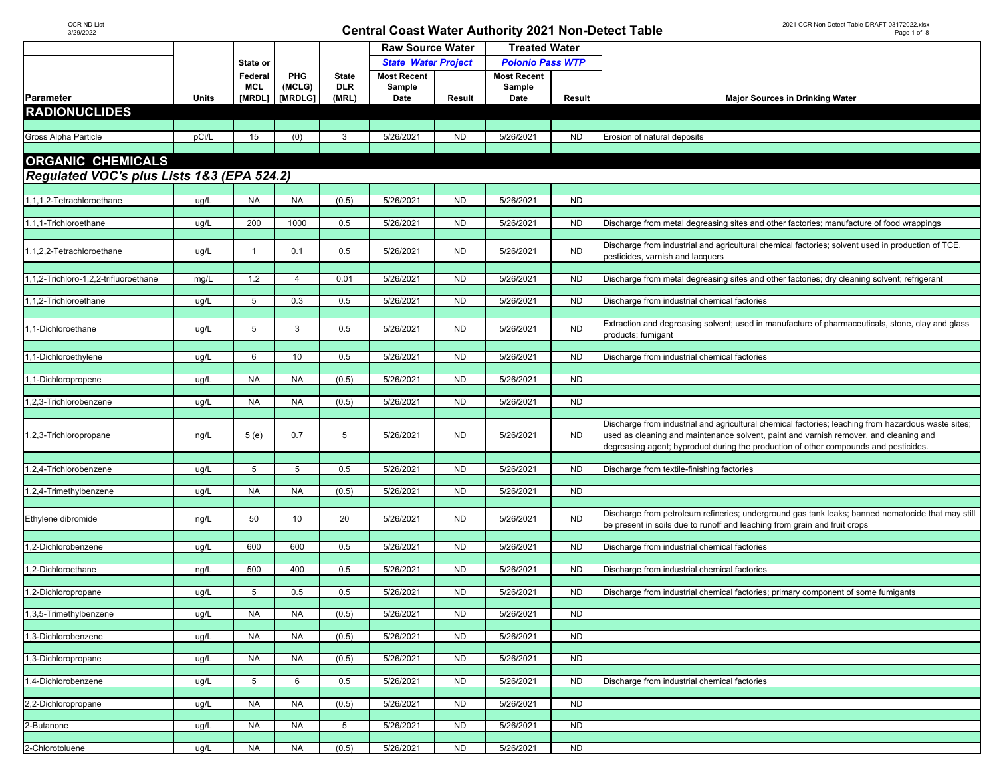|                                            |       |              |                |                 | <b>Raw Source Water</b>    |                | <b>Treated Water</b>    |           |                                                                                                     |  |
|--------------------------------------------|-------|--------------|----------------|-----------------|----------------------------|----------------|-------------------------|-----------|-----------------------------------------------------------------------------------------------------|--|
|                                            |       | State or     |                |                 | <b>State Water Project</b> |                | <b>Polonio Pass WTP</b> |           |                                                                                                     |  |
|                                            |       | Federal      | PHG            | <b>State</b>    | <b>Most Recent</b>         |                | <b>Most Recent</b>      |           |                                                                                                     |  |
|                                            |       | <b>MCL</b>   | (MCLG)         | <b>DLR</b>      | Sample                     |                | Sample                  |           |                                                                                                     |  |
| Parameter                                  | Units | [MRDL]       | [MRDLG]        | (MRL)           | Date                       | Result         | Date                    | Result    | <b>Major Sources in Drinking Water</b>                                                              |  |
| <b>RADIONUCLIDES</b>                       |       |              |                |                 |                            |                |                         |           |                                                                                                     |  |
|                                            |       |              |                |                 |                            |                |                         |           |                                                                                                     |  |
| Gross Alpha Particle                       | pCi/L | 15           | (0)            | 3               | 5/26/2021                  | <b>ND</b>      | 5/26/2021               | <b>ND</b> | Erosion of natural deposits                                                                         |  |
|                                            |       |              |                |                 |                            |                |                         |           |                                                                                                     |  |
| <b>ORGANIC CHEMICALS</b>                   |       |              |                |                 |                            |                |                         |           |                                                                                                     |  |
|                                            |       |              |                |                 |                            |                |                         |           |                                                                                                     |  |
| Regulated VOC's plus Lists 1&3 (EPA 524.2) |       |              |                |                 |                            |                |                         |           |                                                                                                     |  |
|                                            |       |              |                |                 | 5/26/2021                  |                | 5/26/2021               |           |                                                                                                     |  |
| 1,1,1,2-Tetrachloroethane                  | ug/L  | <b>NA</b>    | <b>NA</b>      | (0.5)           |                            | <b>ND</b>      |                         | <b>ND</b> |                                                                                                     |  |
| 1,1,1-Trichloroethane                      | ug/L  | 200          | 1000           | 0.5             | 5/26/2021                  | <b>ND</b>      | 5/26/2021               | <b>ND</b> | Discharge from metal degreasing sites and other factories; manufacture of food wrappings            |  |
|                                            |       |              |                |                 |                            |                |                         |           |                                                                                                     |  |
|                                            |       |              |                |                 |                            |                |                         |           | Discharge from industrial and agricultural chemical factories; solvent used in production of TCE,   |  |
| 1,1,2,2-Tetrachloroethane                  | ug/L  | $\mathbf{1}$ | 0.1            | 0.5             | 5/26/2021                  | <b>ND</b>      | 5/26/2021               | <b>ND</b> | pesticides, varnish and lacquers                                                                    |  |
|                                            |       |              |                |                 |                            |                |                         |           |                                                                                                     |  |
| 1,1,2-Trichloro-1,2,2-trifluoroethane      | mg/L  | 1.2          | $\overline{4}$ | 0.01            | 5/26/2021                  | N <sub>D</sub> | 5/26/2021               | <b>ND</b> | Discharge from metal degreasing sites and other factories; dry cleaning solvent; refrigerant        |  |
|                                            |       |              |                |                 |                            |                |                         |           |                                                                                                     |  |
| 1,1,2-Trichloroethane                      | ug/L  | 5            | 0.3            | 0.5             | 5/26/2021                  | <b>ND</b>      | 5/26/2021               | <b>ND</b> | Discharge from industrial chemical factories                                                        |  |
|                                            |       |              |                |                 |                            |                |                         |           |                                                                                                     |  |
| ,1-Dichloroethane                          | ug/L  | 5            | 3              | 0.5             | 5/26/2021                  | <b>ND</b>      | 5/26/2021               | <b>ND</b> | Extraction and degreasing solvent; used in manufacture of pharmaceuticals, stone, clay and glass    |  |
|                                            |       |              |                |                 |                            |                |                         |           | products; fumigant                                                                                  |  |
| ,1-Dichloroethylene                        | ug/L  | 6            | 10             | 0.5             | 5/26/2021                  | <b>ND</b>      | 5/26/2021               | <b>ND</b> | Discharge from industrial chemical factories                                                        |  |
|                                            |       |              |                |                 |                            |                |                         |           |                                                                                                     |  |
| ,1-Dichloropropene                         | ug/L  | <b>NA</b>    | <b>NA</b>      | (0.5)           | 5/26/2021                  | <b>ND</b>      | 5/26/2021               | <b>ND</b> |                                                                                                     |  |
|                                            |       |              |                |                 |                            |                |                         |           |                                                                                                     |  |
| 1,2,3-Trichlorobenzene                     | ug/L  | <b>NA</b>    | <b>NA</b>      | (0.5)           | 5/26/2021                  | <b>ND</b>      | 5/26/2021               | <b>ND</b> |                                                                                                     |  |
|                                            |       |              |                |                 |                            |                |                         |           |                                                                                                     |  |
|                                            |       |              |                |                 |                            |                |                         |           | Discharge from industrial and agricultural chemical factories; leaching from hazardous waste sites; |  |
| 1,2,3-Trichloropropane                     | ng/L  | 5(e)         | 0.7            | 5               | 5/26/2021                  | <b>ND</b>      | 5/26/2021               | ND.       | used as cleaning and maintenance solvent, paint and varnish remover, and cleaning and               |  |
|                                            |       |              |                |                 |                            |                |                         |           | degreasing agent; byproduct during the production of other compounds and pesticides.                |  |
|                                            |       |              |                |                 |                            |                |                         |           |                                                                                                     |  |
| ,2,4-Trichlorobenzene                      | ug/L  | 5            | 5              | 0.5             | 5/26/2021                  | <b>ND</b>      | 5/26/2021               | <b>ND</b> | Discharge from textile-finishing factories                                                          |  |
| 1,2,4-Trimethylbenzene                     | ug/L  | <b>NA</b>    | <b>NA</b>      | (0.5)           | 5/26/2021                  | <b>ND</b>      | 5/26/2021               | <b>ND</b> |                                                                                                     |  |
|                                            |       |              |                |                 |                            |                |                         |           |                                                                                                     |  |
|                                            |       |              |                |                 |                            |                |                         |           | Discharge from petroleum refineries; underground gas tank leaks; banned nematocide that may still   |  |
| Ethylene dibromide                         | ng/L  | 50           | 10             | 20              | 5/26/2021                  | <b>ND</b>      | 5/26/2021               | <b>ND</b> | be present in soils due to runoff and leaching from grain and fruit crops                           |  |
|                                            |       |              |                |                 |                            |                |                         |           |                                                                                                     |  |
| ,2-Dichlorobenzene                         | ug/L  | 600          | 600            | 0.5             | 5/26/2021                  | <b>ND</b>      | 5/26/2021               | <b>ND</b> | Discharge from industrial chemical factories                                                        |  |
|                                            |       |              |                |                 |                            |                |                         |           |                                                                                                     |  |
| ,2-Dichloroethane                          | ng/L  | 500          | 400            | 0.5             | 5/26/2021                  | <b>ND</b>      | 5/26/2021               | <b>ND</b> | Discharge from industrial chemical factories                                                        |  |
|                                            |       |              |                |                 |                            |                |                         |           |                                                                                                     |  |
| ,2-Dichloropropane                         | ug/L  | 5            | 0.5            | 0.5             | 5/26/2021                  | <b>ND</b>      | 5/26/2021               | <b>ND</b> | Discharge from industrial chemical factories; primary component of some fumigants                   |  |
| 1,3,5-Trimethylbenzene                     | ug/L  | NA           | <b>NA</b>      | (0.5)           | 5/26/2021                  | <b>ND</b>      | 5/26/2021               | ND.       |                                                                                                     |  |
|                                            |       |              |                |                 |                            |                |                         |           |                                                                                                     |  |
| 1,3-Dichlorobenzene                        | ug/L  | <b>NA</b>    | <b>NA</b>      | (0.5)           | 5/26/2021                  | <b>ND</b>      | 5/26/2021               | <b>ND</b> |                                                                                                     |  |
|                                            |       |              |                |                 |                            |                |                         |           |                                                                                                     |  |
| 1,3-Dichloropropane                        | ug/L  | <b>NA</b>    | <b>NA</b>      | (0.5)           | 5/26/2021                  | <b>ND</b>      | 5/26/2021               | <b>ND</b> |                                                                                                     |  |
|                                            |       |              |                |                 |                            |                |                         |           |                                                                                                     |  |
| 1,4-Dichlorobenzene                        | ug/L  | 5            | 6              | 0.5             | 5/26/2021                  | <b>ND</b>      | 5/26/2021               | <b>ND</b> | Discharge from industrial chemical factories                                                        |  |
|                                            |       |              |                |                 |                            |                |                         |           |                                                                                                     |  |
| 2,2-Dichloropropane                        | ug/L  | <b>NA</b>    | <b>NA</b>      | (0.5)           | 5/26/2021                  | <b>ND</b>      | 5/26/2021               | <b>ND</b> |                                                                                                     |  |
| 2-Butanone                                 | ug/L  | <b>NA</b>    | <b>NA</b>      | $5\overline{)}$ | 5/26/2021                  | <b>ND</b>      | 5/26/2021               | ND.       |                                                                                                     |  |
|                                            |       |              |                |                 |                            |                |                         |           |                                                                                                     |  |
| 2-Chlorotoluene                            | ug/L  | <b>NA</b>    | <b>NA</b>      | (0.5)           | 5/26/2021                  | <b>ND</b>      | 5/26/2021               | <b>ND</b> |                                                                                                     |  |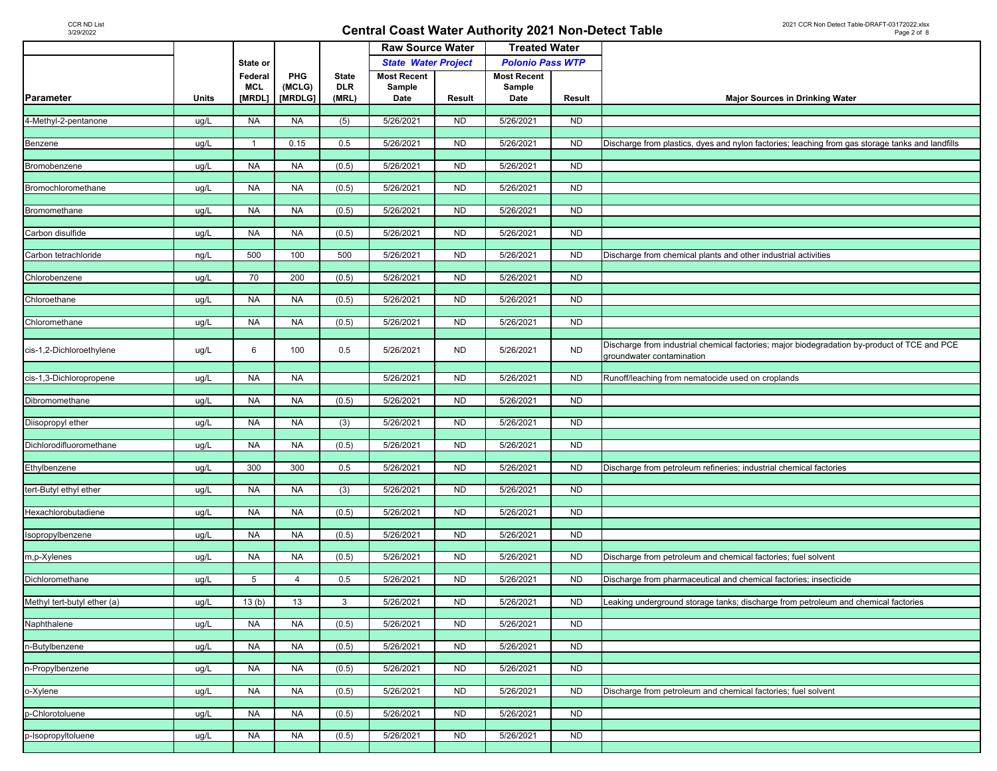| <b>State Water Project</b><br><b>Polonio Pass WTP</b><br>State or<br>PHG<br><b>Most Recent</b><br><b>Most Recent</b><br>Federal<br><b>State</b><br><b>MCL</b><br>(MCLG)<br>Sample<br>Sample<br><b>DLR</b><br>[MRDL]<br>[MRDLG]<br>(MRL)<br>Date<br>Result<br>Date<br>Result<br>Units<br><b>Major Sources in Drinking Water</b><br>5/26/2021<br>5/26/2021<br><b>NA</b><br><b>NA</b><br>(5)<br><b>ND</b><br><b>ND</b><br>4-Methyl-2-pentanone<br>ug/L<br>0.15<br>0.5<br>5/26/2021<br><b>ND</b><br>5/26/2021<br><b>ND</b><br>ug/L<br>$\mathbf{1}$<br>Discharge from plastics, dyes and nylon factories; leaching from gas storage tanks and landfills<br>Benzene<br><b>NA</b><br>5/26/2021<br>ND<br>5/26/2021<br><b>NA</b><br>(0.5)<br><b>ND</b><br>ug/L<br>Bromobenzene<br><b>NA</b><br><b>NA</b><br>5/26/2021<br>N <sub>D</sub><br>5/26/2021<br>ND<br>ug/L<br>(0.5)<br>Bromochloromethane<br><b>NA</b><br>5/26/2021<br><b>ND</b><br>5/26/2021<br><b>ND</b><br>ug/L<br><b>NA</b><br>(0.5)<br>Bromomethane<br><b>NA</b><br><b>NA</b><br>(0.5)<br>5/26/2021<br><b>ND</b><br>5/26/2021<br><b>ND</b><br>Carbon disulfide<br>ug/L<br>500<br>5/26/2021<br><b>ND</b><br>5/26/2021<br>100<br>500<br><b>ND</b><br>Carbon tetrachloride<br>ng/L<br>Discharge from chemical plants and other industrial activities<br>70<br><b>ND</b><br>5/26/2021<br><b>ND</b><br>ug/L<br>200<br>(0.5)<br>5/26/2021<br>Chlorobenzene<br><b>NA</b><br>5/26/2021<br><b>ND</b><br>5/26/2021<br><b>ND</b><br>Chloroethane<br>ug/L<br><b>NA</b><br>(0.5)<br><b>NA</b><br>5/26/2021<br>N <sub>D</sub><br>5/26/2021<br><b>ND</b><br>Chloromethane<br>ug/L<br><b>NA</b><br>(0.5)<br>Discharge from industrial chemical factories; major biodegradation by-product of TCE and PCE<br>6<br><b>ND</b><br>100<br>0.5<br>5/26/2021<br><b>ND</b><br>5/26/2021<br>cis-1,2-Dichloroethylene<br>ug/L<br>groundwater contamination<br><b>NA</b><br>5/26/2021<br>cis-1,3-Dichloropropene<br><b>NA</b><br>5/26/2021<br><b>ND</b><br>ug/L<br>ND<br>Runoff/leaching from nematocide used on croplands<br>5/26/2021<br>5/26/2021<br><b>NA</b><br><b>NA</b><br>(0.5)<br><b>ND</b><br><b>ND</b><br>Dibromomethane<br>ug/L<br><b>NA</b><br><b>NA</b><br>5/26/2021<br><b>ND</b><br>5/26/2021<br><b>ND</b><br>Diisopropyl ether<br>ug/L<br>(3)<br>Dichlorodifluoromethane<br><b>NA</b><br><b>NA</b><br>(0.5)<br>5/26/2021<br><b>ND</b><br>5/26/2021<br><b>ND</b><br>ug/L<br>300<br>300<br>5/26/2021<br>N <sub>D</sub><br>5/26/2021<br>ND<br>Ethylbenzene<br>ug/L<br>0.5<br>Discharge from petroleum refineries; industrial chemical factories<br><b>NA</b><br>ND<br>5/26/2021<br><b>ND</b><br>tert-Butyl ethyl ether<br>ug/L<br><b>NA</b><br>(3)<br>5/26/2021<br>N <sub>D</sub><br>ND<br><b>NA</b><br><b>NA</b><br>(0.5)<br>5/26/2021<br>5/26/2021<br>Hexachlorobutadiene<br>ug/L<br><b>NA</b><br><b>NA</b><br>(0.5)<br>5/26/2021<br><b>ND</b><br>5/26/2021<br><b>ND</b><br>sopropylbenzene<br>ug/L<br><b>NA</b><br>5/26/2021<br><b>ND</b><br>5/26/2021<br>m,p-Xylenes<br>ug/L<br><b>NA</b><br>(0.5)<br><b>ND</b><br>Discharge from petroleum and chemical factories; fuel solvent<br><b>ND</b><br>5<br>0.5<br>5/26/2021<br>5/26/2021<br><b>ND</b><br>Discharge from pharmaceutical and chemical factories; insecticide<br>Dichloromethane<br>ug/L<br>$\overline{4}$<br>Methyl tert-butyl ether (a)<br>5/26/2021<br><b>ND</b><br>5/26/2021<br>13(b)<br>13<br>3<br><b>ND</b><br>Leaking underground storage tanks; discharge from petroleum and chemical factories<br>ug/L<br>5/26/2021<br><b>ND</b><br>5/26/2021<br><b>NA</b><br><b>NA</b><br>(0.5)<br><b>ND</b><br>Naphthalene<br>ug/L<br>5/26/2021<br><b>NA</b><br>5/26/2021<br><b>ND</b><br>ND<br>n-Butylbenzene<br>ug/L<br>NA<br>(0.5)<br>5/26/2021<br>5/26/2021<br><b>ND</b><br>n-Propylbenzene<br><b>NA</b><br>(0.5)<br><b>ND</b><br>ug/L<br>NA.<br>5/26/2021<br><b>ND</b><br>5/26/2021<br><b>ND</b><br><b>NA</b><br><b>NA</b><br>(0.5)<br>ug/L<br>Discharge from petroleum and chemical factories; fuel solvent<br>5/26/2021<br><b>ND</b><br>5/26/2021<br><b>ND</b><br>p-Chlorotoluene<br><b>NA</b><br><b>NA</b><br>(0.5)<br>ug/L<br><b>ND</b><br><b>NA</b><br><b>NA</b><br>(0.5)<br>5/26/2021<br>5/26/2021<br><b>ND</b><br>p-Isopropyltoluene<br>ug/L |           |  |  | <b>Raw Source Water</b> | <b>Treated Water</b> |  |  |
|-------------------------------------------------------------------------------------------------------------------------------------------------------------------------------------------------------------------------------------------------------------------------------------------------------------------------------------------------------------------------------------------------------------------------------------------------------------------------------------------------------------------------------------------------------------------------------------------------------------------------------------------------------------------------------------------------------------------------------------------------------------------------------------------------------------------------------------------------------------------------------------------------------------------------------------------------------------------------------------------------------------------------------------------------------------------------------------------------------------------------------------------------------------------------------------------------------------------------------------------------------------------------------------------------------------------------------------------------------------------------------------------------------------------------------------------------------------------------------------------------------------------------------------------------------------------------------------------------------------------------------------------------------------------------------------------------------------------------------------------------------------------------------------------------------------------------------------------------------------------------------------------------------------------------------------------------------------------------------------------------------------------------------------------------------------------------------------------------------------------------------------------------------------------------------------------------------------------------------------------------------------------------------------------------------------------------------------------------------------------------------------------------------------------------------------------------------------------------------------------------------------------------------------------------------------------------------------------------------------------------------------------------------------------------------------------------------------------------------------------------------------------------------------------------------------------------------------------------------------------------------------------------------------------------------------------------------------------------------------------------------------------------------------------------------------------------------------------------------------------------------------------------------------------------------------------------------------------------------------------------------------------------------------------------------------------------------------------------------------------------------------------------------------------------------------------------------------------------------------------------------------------------------------------------------------------------------------------------------------------------------------------------------------------------------------------------------------------------------------------------------------------------------------------------------------------------------------------------------------------------------------------------------------------------------------------------------------------------------------------------------------------------------------------------------------------------------------------------------------------------------------------------------------------------------------------------------------------------------------------------------|-----------|--|--|-------------------------|----------------------|--|--|
|                                                                                                                                                                                                                                                                                                                                                                                                                                                                                                                                                                                                                                                                                                                                                                                                                                                                                                                                                                                                                                                                                                                                                                                                                                                                                                                                                                                                                                                                                                                                                                                                                                                                                                                                                                                                                                                                                                                                                                                                                                                                                                                                                                                                                                                                                                                                                                                                                                                                                                                                                                                                                                                                                                                                                                                                                                                                                                                                                                                                                                                                                                                                                                                                                                                                                                                                                                                                                                                                                                                                                                                                                                                                                                                                                                                                                                                                                                                                                                                                                                                                                                                                                                                                                                                       |           |  |  |                         |                      |  |  |
|                                                                                                                                                                                                                                                                                                                                                                                                                                                                                                                                                                                                                                                                                                                                                                                                                                                                                                                                                                                                                                                                                                                                                                                                                                                                                                                                                                                                                                                                                                                                                                                                                                                                                                                                                                                                                                                                                                                                                                                                                                                                                                                                                                                                                                                                                                                                                                                                                                                                                                                                                                                                                                                                                                                                                                                                                                                                                                                                                                                                                                                                                                                                                                                                                                                                                                                                                                                                                                                                                                                                                                                                                                                                                                                                                                                                                                                                                                                                                                                                                                                                                                                                                                                                                                                       |           |  |  |                         |                      |  |  |
|                                                                                                                                                                                                                                                                                                                                                                                                                                                                                                                                                                                                                                                                                                                                                                                                                                                                                                                                                                                                                                                                                                                                                                                                                                                                                                                                                                                                                                                                                                                                                                                                                                                                                                                                                                                                                                                                                                                                                                                                                                                                                                                                                                                                                                                                                                                                                                                                                                                                                                                                                                                                                                                                                                                                                                                                                                                                                                                                                                                                                                                                                                                                                                                                                                                                                                                                                                                                                                                                                                                                                                                                                                                                                                                                                                                                                                                                                                                                                                                                                                                                                                                                                                                                                                                       |           |  |  |                         |                      |  |  |
|                                                                                                                                                                                                                                                                                                                                                                                                                                                                                                                                                                                                                                                                                                                                                                                                                                                                                                                                                                                                                                                                                                                                                                                                                                                                                                                                                                                                                                                                                                                                                                                                                                                                                                                                                                                                                                                                                                                                                                                                                                                                                                                                                                                                                                                                                                                                                                                                                                                                                                                                                                                                                                                                                                                                                                                                                                                                                                                                                                                                                                                                                                                                                                                                                                                                                                                                                                                                                                                                                                                                                                                                                                                                                                                                                                                                                                                                                                                                                                                                                                                                                                                                                                                                                                                       | Parameter |  |  |                         |                      |  |  |
|                                                                                                                                                                                                                                                                                                                                                                                                                                                                                                                                                                                                                                                                                                                                                                                                                                                                                                                                                                                                                                                                                                                                                                                                                                                                                                                                                                                                                                                                                                                                                                                                                                                                                                                                                                                                                                                                                                                                                                                                                                                                                                                                                                                                                                                                                                                                                                                                                                                                                                                                                                                                                                                                                                                                                                                                                                                                                                                                                                                                                                                                                                                                                                                                                                                                                                                                                                                                                                                                                                                                                                                                                                                                                                                                                                                                                                                                                                                                                                                                                                                                                                                                                                                                                                                       |           |  |  |                         |                      |  |  |
|                                                                                                                                                                                                                                                                                                                                                                                                                                                                                                                                                                                                                                                                                                                                                                                                                                                                                                                                                                                                                                                                                                                                                                                                                                                                                                                                                                                                                                                                                                                                                                                                                                                                                                                                                                                                                                                                                                                                                                                                                                                                                                                                                                                                                                                                                                                                                                                                                                                                                                                                                                                                                                                                                                                                                                                                                                                                                                                                                                                                                                                                                                                                                                                                                                                                                                                                                                                                                                                                                                                                                                                                                                                                                                                                                                                                                                                                                                                                                                                                                                                                                                                                                                                                                                                       |           |  |  |                         |                      |  |  |
|                                                                                                                                                                                                                                                                                                                                                                                                                                                                                                                                                                                                                                                                                                                                                                                                                                                                                                                                                                                                                                                                                                                                                                                                                                                                                                                                                                                                                                                                                                                                                                                                                                                                                                                                                                                                                                                                                                                                                                                                                                                                                                                                                                                                                                                                                                                                                                                                                                                                                                                                                                                                                                                                                                                                                                                                                                                                                                                                                                                                                                                                                                                                                                                                                                                                                                                                                                                                                                                                                                                                                                                                                                                                                                                                                                                                                                                                                                                                                                                                                                                                                                                                                                                                                                                       |           |  |  |                         |                      |  |  |
|                                                                                                                                                                                                                                                                                                                                                                                                                                                                                                                                                                                                                                                                                                                                                                                                                                                                                                                                                                                                                                                                                                                                                                                                                                                                                                                                                                                                                                                                                                                                                                                                                                                                                                                                                                                                                                                                                                                                                                                                                                                                                                                                                                                                                                                                                                                                                                                                                                                                                                                                                                                                                                                                                                                                                                                                                                                                                                                                                                                                                                                                                                                                                                                                                                                                                                                                                                                                                                                                                                                                                                                                                                                                                                                                                                                                                                                                                                                                                                                                                                                                                                                                                                                                                                                       |           |  |  |                         |                      |  |  |
|                                                                                                                                                                                                                                                                                                                                                                                                                                                                                                                                                                                                                                                                                                                                                                                                                                                                                                                                                                                                                                                                                                                                                                                                                                                                                                                                                                                                                                                                                                                                                                                                                                                                                                                                                                                                                                                                                                                                                                                                                                                                                                                                                                                                                                                                                                                                                                                                                                                                                                                                                                                                                                                                                                                                                                                                                                                                                                                                                                                                                                                                                                                                                                                                                                                                                                                                                                                                                                                                                                                                                                                                                                                                                                                                                                                                                                                                                                                                                                                                                                                                                                                                                                                                                                                       |           |  |  |                         |                      |  |  |
|                                                                                                                                                                                                                                                                                                                                                                                                                                                                                                                                                                                                                                                                                                                                                                                                                                                                                                                                                                                                                                                                                                                                                                                                                                                                                                                                                                                                                                                                                                                                                                                                                                                                                                                                                                                                                                                                                                                                                                                                                                                                                                                                                                                                                                                                                                                                                                                                                                                                                                                                                                                                                                                                                                                                                                                                                                                                                                                                                                                                                                                                                                                                                                                                                                                                                                                                                                                                                                                                                                                                                                                                                                                                                                                                                                                                                                                                                                                                                                                                                                                                                                                                                                                                                                                       |           |  |  |                         |                      |  |  |
|                                                                                                                                                                                                                                                                                                                                                                                                                                                                                                                                                                                                                                                                                                                                                                                                                                                                                                                                                                                                                                                                                                                                                                                                                                                                                                                                                                                                                                                                                                                                                                                                                                                                                                                                                                                                                                                                                                                                                                                                                                                                                                                                                                                                                                                                                                                                                                                                                                                                                                                                                                                                                                                                                                                                                                                                                                                                                                                                                                                                                                                                                                                                                                                                                                                                                                                                                                                                                                                                                                                                                                                                                                                                                                                                                                                                                                                                                                                                                                                                                                                                                                                                                                                                                                                       |           |  |  |                         |                      |  |  |
|                                                                                                                                                                                                                                                                                                                                                                                                                                                                                                                                                                                                                                                                                                                                                                                                                                                                                                                                                                                                                                                                                                                                                                                                                                                                                                                                                                                                                                                                                                                                                                                                                                                                                                                                                                                                                                                                                                                                                                                                                                                                                                                                                                                                                                                                                                                                                                                                                                                                                                                                                                                                                                                                                                                                                                                                                                                                                                                                                                                                                                                                                                                                                                                                                                                                                                                                                                                                                                                                                                                                                                                                                                                                                                                                                                                                                                                                                                                                                                                                                                                                                                                                                                                                                                                       |           |  |  |                         |                      |  |  |
|                                                                                                                                                                                                                                                                                                                                                                                                                                                                                                                                                                                                                                                                                                                                                                                                                                                                                                                                                                                                                                                                                                                                                                                                                                                                                                                                                                                                                                                                                                                                                                                                                                                                                                                                                                                                                                                                                                                                                                                                                                                                                                                                                                                                                                                                                                                                                                                                                                                                                                                                                                                                                                                                                                                                                                                                                                                                                                                                                                                                                                                                                                                                                                                                                                                                                                                                                                                                                                                                                                                                                                                                                                                                                                                                                                                                                                                                                                                                                                                                                                                                                                                                                                                                                                                       |           |  |  |                         |                      |  |  |
|                                                                                                                                                                                                                                                                                                                                                                                                                                                                                                                                                                                                                                                                                                                                                                                                                                                                                                                                                                                                                                                                                                                                                                                                                                                                                                                                                                                                                                                                                                                                                                                                                                                                                                                                                                                                                                                                                                                                                                                                                                                                                                                                                                                                                                                                                                                                                                                                                                                                                                                                                                                                                                                                                                                                                                                                                                                                                                                                                                                                                                                                                                                                                                                                                                                                                                                                                                                                                                                                                                                                                                                                                                                                                                                                                                                                                                                                                                                                                                                                                                                                                                                                                                                                                                                       |           |  |  |                         |                      |  |  |
|                                                                                                                                                                                                                                                                                                                                                                                                                                                                                                                                                                                                                                                                                                                                                                                                                                                                                                                                                                                                                                                                                                                                                                                                                                                                                                                                                                                                                                                                                                                                                                                                                                                                                                                                                                                                                                                                                                                                                                                                                                                                                                                                                                                                                                                                                                                                                                                                                                                                                                                                                                                                                                                                                                                                                                                                                                                                                                                                                                                                                                                                                                                                                                                                                                                                                                                                                                                                                                                                                                                                                                                                                                                                                                                                                                                                                                                                                                                                                                                                                                                                                                                                                                                                                                                       |           |  |  |                         |                      |  |  |
|                                                                                                                                                                                                                                                                                                                                                                                                                                                                                                                                                                                                                                                                                                                                                                                                                                                                                                                                                                                                                                                                                                                                                                                                                                                                                                                                                                                                                                                                                                                                                                                                                                                                                                                                                                                                                                                                                                                                                                                                                                                                                                                                                                                                                                                                                                                                                                                                                                                                                                                                                                                                                                                                                                                                                                                                                                                                                                                                                                                                                                                                                                                                                                                                                                                                                                                                                                                                                                                                                                                                                                                                                                                                                                                                                                                                                                                                                                                                                                                                                                                                                                                                                                                                                                                       |           |  |  |                         |                      |  |  |
|                                                                                                                                                                                                                                                                                                                                                                                                                                                                                                                                                                                                                                                                                                                                                                                                                                                                                                                                                                                                                                                                                                                                                                                                                                                                                                                                                                                                                                                                                                                                                                                                                                                                                                                                                                                                                                                                                                                                                                                                                                                                                                                                                                                                                                                                                                                                                                                                                                                                                                                                                                                                                                                                                                                                                                                                                                                                                                                                                                                                                                                                                                                                                                                                                                                                                                                                                                                                                                                                                                                                                                                                                                                                                                                                                                                                                                                                                                                                                                                                                                                                                                                                                                                                                                                       |           |  |  |                         |                      |  |  |
|                                                                                                                                                                                                                                                                                                                                                                                                                                                                                                                                                                                                                                                                                                                                                                                                                                                                                                                                                                                                                                                                                                                                                                                                                                                                                                                                                                                                                                                                                                                                                                                                                                                                                                                                                                                                                                                                                                                                                                                                                                                                                                                                                                                                                                                                                                                                                                                                                                                                                                                                                                                                                                                                                                                                                                                                                                                                                                                                                                                                                                                                                                                                                                                                                                                                                                                                                                                                                                                                                                                                                                                                                                                                                                                                                                                                                                                                                                                                                                                                                                                                                                                                                                                                                                                       |           |  |  |                         |                      |  |  |
|                                                                                                                                                                                                                                                                                                                                                                                                                                                                                                                                                                                                                                                                                                                                                                                                                                                                                                                                                                                                                                                                                                                                                                                                                                                                                                                                                                                                                                                                                                                                                                                                                                                                                                                                                                                                                                                                                                                                                                                                                                                                                                                                                                                                                                                                                                                                                                                                                                                                                                                                                                                                                                                                                                                                                                                                                                                                                                                                                                                                                                                                                                                                                                                                                                                                                                                                                                                                                                                                                                                                                                                                                                                                                                                                                                                                                                                                                                                                                                                                                                                                                                                                                                                                                                                       |           |  |  |                         |                      |  |  |
|                                                                                                                                                                                                                                                                                                                                                                                                                                                                                                                                                                                                                                                                                                                                                                                                                                                                                                                                                                                                                                                                                                                                                                                                                                                                                                                                                                                                                                                                                                                                                                                                                                                                                                                                                                                                                                                                                                                                                                                                                                                                                                                                                                                                                                                                                                                                                                                                                                                                                                                                                                                                                                                                                                                                                                                                                                                                                                                                                                                                                                                                                                                                                                                                                                                                                                                                                                                                                                                                                                                                                                                                                                                                                                                                                                                                                                                                                                                                                                                                                                                                                                                                                                                                                                                       |           |  |  |                         |                      |  |  |
|                                                                                                                                                                                                                                                                                                                                                                                                                                                                                                                                                                                                                                                                                                                                                                                                                                                                                                                                                                                                                                                                                                                                                                                                                                                                                                                                                                                                                                                                                                                                                                                                                                                                                                                                                                                                                                                                                                                                                                                                                                                                                                                                                                                                                                                                                                                                                                                                                                                                                                                                                                                                                                                                                                                                                                                                                                                                                                                                                                                                                                                                                                                                                                                                                                                                                                                                                                                                                                                                                                                                                                                                                                                                                                                                                                                                                                                                                                                                                                                                                                                                                                                                                                                                                                                       |           |  |  |                         |                      |  |  |
|                                                                                                                                                                                                                                                                                                                                                                                                                                                                                                                                                                                                                                                                                                                                                                                                                                                                                                                                                                                                                                                                                                                                                                                                                                                                                                                                                                                                                                                                                                                                                                                                                                                                                                                                                                                                                                                                                                                                                                                                                                                                                                                                                                                                                                                                                                                                                                                                                                                                                                                                                                                                                                                                                                                                                                                                                                                                                                                                                                                                                                                                                                                                                                                                                                                                                                                                                                                                                                                                                                                                                                                                                                                                                                                                                                                                                                                                                                                                                                                                                                                                                                                                                                                                                                                       |           |  |  |                         |                      |  |  |
|                                                                                                                                                                                                                                                                                                                                                                                                                                                                                                                                                                                                                                                                                                                                                                                                                                                                                                                                                                                                                                                                                                                                                                                                                                                                                                                                                                                                                                                                                                                                                                                                                                                                                                                                                                                                                                                                                                                                                                                                                                                                                                                                                                                                                                                                                                                                                                                                                                                                                                                                                                                                                                                                                                                                                                                                                                                                                                                                                                                                                                                                                                                                                                                                                                                                                                                                                                                                                                                                                                                                                                                                                                                                                                                                                                                                                                                                                                                                                                                                                                                                                                                                                                                                                                                       |           |  |  |                         |                      |  |  |
|                                                                                                                                                                                                                                                                                                                                                                                                                                                                                                                                                                                                                                                                                                                                                                                                                                                                                                                                                                                                                                                                                                                                                                                                                                                                                                                                                                                                                                                                                                                                                                                                                                                                                                                                                                                                                                                                                                                                                                                                                                                                                                                                                                                                                                                                                                                                                                                                                                                                                                                                                                                                                                                                                                                                                                                                                                                                                                                                                                                                                                                                                                                                                                                                                                                                                                                                                                                                                                                                                                                                                                                                                                                                                                                                                                                                                                                                                                                                                                                                                                                                                                                                                                                                                                                       |           |  |  |                         |                      |  |  |
|                                                                                                                                                                                                                                                                                                                                                                                                                                                                                                                                                                                                                                                                                                                                                                                                                                                                                                                                                                                                                                                                                                                                                                                                                                                                                                                                                                                                                                                                                                                                                                                                                                                                                                                                                                                                                                                                                                                                                                                                                                                                                                                                                                                                                                                                                                                                                                                                                                                                                                                                                                                                                                                                                                                                                                                                                                                                                                                                                                                                                                                                                                                                                                                                                                                                                                                                                                                                                                                                                                                                                                                                                                                                                                                                                                                                                                                                                                                                                                                                                                                                                                                                                                                                                                                       |           |  |  |                         |                      |  |  |
|                                                                                                                                                                                                                                                                                                                                                                                                                                                                                                                                                                                                                                                                                                                                                                                                                                                                                                                                                                                                                                                                                                                                                                                                                                                                                                                                                                                                                                                                                                                                                                                                                                                                                                                                                                                                                                                                                                                                                                                                                                                                                                                                                                                                                                                                                                                                                                                                                                                                                                                                                                                                                                                                                                                                                                                                                                                                                                                                                                                                                                                                                                                                                                                                                                                                                                                                                                                                                                                                                                                                                                                                                                                                                                                                                                                                                                                                                                                                                                                                                                                                                                                                                                                                                                                       |           |  |  |                         |                      |  |  |
|                                                                                                                                                                                                                                                                                                                                                                                                                                                                                                                                                                                                                                                                                                                                                                                                                                                                                                                                                                                                                                                                                                                                                                                                                                                                                                                                                                                                                                                                                                                                                                                                                                                                                                                                                                                                                                                                                                                                                                                                                                                                                                                                                                                                                                                                                                                                                                                                                                                                                                                                                                                                                                                                                                                                                                                                                                                                                                                                                                                                                                                                                                                                                                                                                                                                                                                                                                                                                                                                                                                                                                                                                                                                                                                                                                                                                                                                                                                                                                                                                                                                                                                                                                                                                                                       |           |  |  |                         |                      |  |  |
|                                                                                                                                                                                                                                                                                                                                                                                                                                                                                                                                                                                                                                                                                                                                                                                                                                                                                                                                                                                                                                                                                                                                                                                                                                                                                                                                                                                                                                                                                                                                                                                                                                                                                                                                                                                                                                                                                                                                                                                                                                                                                                                                                                                                                                                                                                                                                                                                                                                                                                                                                                                                                                                                                                                                                                                                                                                                                                                                                                                                                                                                                                                                                                                                                                                                                                                                                                                                                                                                                                                                                                                                                                                                                                                                                                                                                                                                                                                                                                                                                                                                                                                                                                                                                                                       |           |  |  |                         |                      |  |  |
|                                                                                                                                                                                                                                                                                                                                                                                                                                                                                                                                                                                                                                                                                                                                                                                                                                                                                                                                                                                                                                                                                                                                                                                                                                                                                                                                                                                                                                                                                                                                                                                                                                                                                                                                                                                                                                                                                                                                                                                                                                                                                                                                                                                                                                                                                                                                                                                                                                                                                                                                                                                                                                                                                                                                                                                                                                                                                                                                                                                                                                                                                                                                                                                                                                                                                                                                                                                                                                                                                                                                                                                                                                                                                                                                                                                                                                                                                                                                                                                                                                                                                                                                                                                                                                                       |           |  |  |                         |                      |  |  |
|                                                                                                                                                                                                                                                                                                                                                                                                                                                                                                                                                                                                                                                                                                                                                                                                                                                                                                                                                                                                                                                                                                                                                                                                                                                                                                                                                                                                                                                                                                                                                                                                                                                                                                                                                                                                                                                                                                                                                                                                                                                                                                                                                                                                                                                                                                                                                                                                                                                                                                                                                                                                                                                                                                                                                                                                                                                                                                                                                                                                                                                                                                                                                                                                                                                                                                                                                                                                                                                                                                                                                                                                                                                                                                                                                                                                                                                                                                                                                                                                                                                                                                                                                                                                                                                       |           |  |  |                         |                      |  |  |
|                                                                                                                                                                                                                                                                                                                                                                                                                                                                                                                                                                                                                                                                                                                                                                                                                                                                                                                                                                                                                                                                                                                                                                                                                                                                                                                                                                                                                                                                                                                                                                                                                                                                                                                                                                                                                                                                                                                                                                                                                                                                                                                                                                                                                                                                                                                                                                                                                                                                                                                                                                                                                                                                                                                                                                                                                                                                                                                                                                                                                                                                                                                                                                                                                                                                                                                                                                                                                                                                                                                                                                                                                                                                                                                                                                                                                                                                                                                                                                                                                                                                                                                                                                                                                                                       |           |  |  |                         |                      |  |  |
|                                                                                                                                                                                                                                                                                                                                                                                                                                                                                                                                                                                                                                                                                                                                                                                                                                                                                                                                                                                                                                                                                                                                                                                                                                                                                                                                                                                                                                                                                                                                                                                                                                                                                                                                                                                                                                                                                                                                                                                                                                                                                                                                                                                                                                                                                                                                                                                                                                                                                                                                                                                                                                                                                                                                                                                                                                                                                                                                                                                                                                                                                                                                                                                                                                                                                                                                                                                                                                                                                                                                                                                                                                                                                                                                                                                                                                                                                                                                                                                                                                                                                                                                                                                                                                                       |           |  |  |                         |                      |  |  |
|                                                                                                                                                                                                                                                                                                                                                                                                                                                                                                                                                                                                                                                                                                                                                                                                                                                                                                                                                                                                                                                                                                                                                                                                                                                                                                                                                                                                                                                                                                                                                                                                                                                                                                                                                                                                                                                                                                                                                                                                                                                                                                                                                                                                                                                                                                                                                                                                                                                                                                                                                                                                                                                                                                                                                                                                                                                                                                                                                                                                                                                                                                                                                                                                                                                                                                                                                                                                                                                                                                                                                                                                                                                                                                                                                                                                                                                                                                                                                                                                                                                                                                                                                                                                                                                       |           |  |  |                         |                      |  |  |
|                                                                                                                                                                                                                                                                                                                                                                                                                                                                                                                                                                                                                                                                                                                                                                                                                                                                                                                                                                                                                                                                                                                                                                                                                                                                                                                                                                                                                                                                                                                                                                                                                                                                                                                                                                                                                                                                                                                                                                                                                                                                                                                                                                                                                                                                                                                                                                                                                                                                                                                                                                                                                                                                                                                                                                                                                                                                                                                                                                                                                                                                                                                                                                                                                                                                                                                                                                                                                                                                                                                                                                                                                                                                                                                                                                                                                                                                                                                                                                                                                                                                                                                                                                                                                                                       |           |  |  |                         |                      |  |  |
|                                                                                                                                                                                                                                                                                                                                                                                                                                                                                                                                                                                                                                                                                                                                                                                                                                                                                                                                                                                                                                                                                                                                                                                                                                                                                                                                                                                                                                                                                                                                                                                                                                                                                                                                                                                                                                                                                                                                                                                                                                                                                                                                                                                                                                                                                                                                                                                                                                                                                                                                                                                                                                                                                                                                                                                                                                                                                                                                                                                                                                                                                                                                                                                                                                                                                                                                                                                                                                                                                                                                                                                                                                                                                                                                                                                                                                                                                                                                                                                                                                                                                                                                                                                                                                                       |           |  |  |                         |                      |  |  |
|                                                                                                                                                                                                                                                                                                                                                                                                                                                                                                                                                                                                                                                                                                                                                                                                                                                                                                                                                                                                                                                                                                                                                                                                                                                                                                                                                                                                                                                                                                                                                                                                                                                                                                                                                                                                                                                                                                                                                                                                                                                                                                                                                                                                                                                                                                                                                                                                                                                                                                                                                                                                                                                                                                                                                                                                                                                                                                                                                                                                                                                                                                                                                                                                                                                                                                                                                                                                                                                                                                                                                                                                                                                                                                                                                                                                                                                                                                                                                                                                                                                                                                                                                                                                                                                       |           |  |  |                         |                      |  |  |
|                                                                                                                                                                                                                                                                                                                                                                                                                                                                                                                                                                                                                                                                                                                                                                                                                                                                                                                                                                                                                                                                                                                                                                                                                                                                                                                                                                                                                                                                                                                                                                                                                                                                                                                                                                                                                                                                                                                                                                                                                                                                                                                                                                                                                                                                                                                                                                                                                                                                                                                                                                                                                                                                                                                                                                                                                                                                                                                                                                                                                                                                                                                                                                                                                                                                                                                                                                                                                                                                                                                                                                                                                                                                                                                                                                                                                                                                                                                                                                                                                                                                                                                                                                                                                                                       |           |  |  |                         |                      |  |  |
|                                                                                                                                                                                                                                                                                                                                                                                                                                                                                                                                                                                                                                                                                                                                                                                                                                                                                                                                                                                                                                                                                                                                                                                                                                                                                                                                                                                                                                                                                                                                                                                                                                                                                                                                                                                                                                                                                                                                                                                                                                                                                                                                                                                                                                                                                                                                                                                                                                                                                                                                                                                                                                                                                                                                                                                                                                                                                                                                                                                                                                                                                                                                                                                                                                                                                                                                                                                                                                                                                                                                                                                                                                                                                                                                                                                                                                                                                                                                                                                                                                                                                                                                                                                                                                                       |           |  |  |                         |                      |  |  |
|                                                                                                                                                                                                                                                                                                                                                                                                                                                                                                                                                                                                                                                                                                                                                                                                                                                                                                                                                                                                                                                                                                                                                                                                                                                                                                                                                                                                                                                                                                                                                                                                                                                                                                                                                                                                                                                                                                                                                                                                                                                                                                                                                                                                                                                                                                                                                                                                                                                                                                                                                                                                                                                                                                                                                                                                                                                                                                                                                                                                                                                                                                                                                                                                                                                                                                                                                                                                                                                                                                                                                                                                                                                                                                                                                                                                                                                                                                                                                                                                                                                                                                                                                                                                                                                       |           |  |  |                         |                      |  |  |
|                                                                                                                                                                                                                                                                                                                                                                                                                                                                                                                                                                                                                                                                                                                                                                                                                                                                                                                                                                                                                                                                                                                                                                                                                                                                                                                                                                                                                                                                                                                                                                                                                                                                                                                                                                                                                                                                                                                                                                                                                                                                                                                                                                                                                                                                                                                                                                                                                                                                                                                                                                                                                                                                                                                                                                                                                                                                                                                                                                                                                                                                                                                                                                                                                                                                                                                                                                                                                                                                                                                                                                                                                                                                                                                                                                                                                                                                                                                                                                                                                                                                                                                                                                                                                                                       |           |  |  |                         |                      |  |  |
|                                                                                                                                                                                                                                                                                                                                                                                                                                                                                                                                                                                                                                                                                                                                                                                                                                                                                                                                                                                                                                                                                                                                                                                                                                                                                                                                                                                                                                                                                                                                                                                                                                                                                                                                                                                                                                                                                                                                                                                                                                                                                                                                                                                                                                                                                                                                                                                                                                                                                                                                                                                                                                                                                                                                                                                                                                                                                                                                                                                                                                                                                                                                                                                                                                                                                                                                                                                                                                                                                                                                                                                                                                                                                                                                                                                                                                                                                                                                                                                                                                                                                                                                                                                                                                                       |           |  |  |                         |                      |  |  |
|                                                                                                                                                                                                                                                                                                                                                                                                                                                                                                                                                                                                                                                                                                                                                                                                                                                                                                                                                                                                                                                                                                                                                                                                                                                                                                                                                                                                                                                                                                                                                                                                                                                                                                                                                                                                                                                                                                                                                                                                                                                                                                                                                                                                                                                                                                                                                                                                                                                                                                                                                                                                                                                                                                                                                                                                                                                                                                                                                                                                                                                                                                                                                                                                                                                                                                                                                                                                                                                                                                                                                                                                                                                                                                                                                                                                                                                                                                                                                                                                                                                                                                                                                                                                                                                       |           |  |  |                         |                      |  |  |
|                                                                                                                                                                                                                                                                                                                                                                                                                                                                                                                                                                                                                                                                                                                                                                                                                                                                                                                                                                                                                                                                                                                                                                                                                                                                                                                                                                                                                                                                                                                                                                                                                                                                                                                                                                                                                                                                                                                                                                                                                                                                                                                                                                                                                                                                                                                                                                                                                                                                                                                                                                                                                                                                                                                                                                                                                                                                                                                                                                                                                                                                                                                                                                                                                                                                                                                                                                                                                                                                                                                                                                                                                                                                                                                                                                                                                                                                                                                                                                                                                                                                                                                                                                                                                                                       |           |  |  |                         |                      |  |  |
|                                                                                                                                                                                                                                                                                                                                                                                                                                                                                                                                                                                                                                                                                                                                                                                                                                                                                                                                                                                                                                                                                                                                                                                                                                                                                                                                                                                                                                                                                                                                                                                                                                                                                                                                                                                                                                                                                                                                                                                                                                                                                                                                                                                                                                                                                                                                                                                                                                                                                                                                                                                                                                                                                                                                                                                                                                                                                                                                                                                                                                                                                                                                                                                                                                                                                                                                                                                                                                                                                                                                                                                                                                                                                                                                                                                                                                                                                                                                                                                                                                                                                                                                                                                                                                                       |           |  |  |                         |                      |  |  |
|                                                                                                                                                                                                                                                                                                                                                                                                                                                                                                                                                                                                                                                                                                                                                                                                                                                                                                                                                                                                                                                                                                                                                                                                                                                                                                                                                                                                                                                                                                                                                                                                                                                                                                                                                                                                                                                                                                                                                                                                                                                                                                                                                                                                                                                                                                                                                                                                                                                                                                                                                                                                                                                                                                                                                                                                                                                                                                                                                                                                                                                                                                                                                                                                                                                                                                                                                                                                                                                                                                                                                                                                                                                                                                                                                                                                                                                                                                                                                                                                                                                                                                                                                                                                                                                       |           |  |  |                         |                      |  |  |
|                                                                                                                                                                                                                                                                                                                                                                                                                                                                                                                                                                                                                                                                                                                                                                                                                                                                                                                                                                                                                                                                                                                                                                                                                                                                                                                                                                                                                                                                                                                                                                                                                                                                                                                                                                                                                                                                                                                                                                                                                                                                                                                                                                                                                                                                                                                                                                                                                                                                                                                                                                                                                                                                                                                                                                                                                                                                                                                                                                                                                                                                                                                                                                                                                                                                                                                                                                                                                                                                                                                                                                                                                                                                                                                                                                                                                                                                                                                                                                                                                                                                                                                                                                                                                                                       |           |  |  |                         |                      |  |  |
|                                                                                                                                                                                                                                                                                                                                                                                                                                                                                                                                                                                                                                                                                                                                                                                                                                                                                                                                                                                                                                                                                                                                                                                                                                                                                                                                                                                                                                                                                                                                                                                                                                                                                                                                                                                                                                                                                                                                                                                                                                                                                                                                                                                                                                                                                                                                                                                                                                                                                                                                                                                                                                                                                                                                                                                                                                                                                                                                                                                                                                                                                                                                                                                                                                                                                                                                                                                                                                                                                                                                                                                                                                                                                                                                                                                                                                                                                                                                                                                                                                                                                                                                                                                                                                                       |           |  |  |                         |                      |  |  |
|                                                                                                                                                                                                                                                                                                                                                                                                                                                                                                                                                                                                                                                                                                                                                                                                                                                                                                                                                                                                                                                                                                                                                                                                                                                                                                                                                                                                                                                                                                                                                                                                                                                                                                                                                                                                                                                                                                                                                                                                                                                                                                                                                                                                                                                                                                                                                                                                                                                                                                                                                                                                                                                                                                                                                                                                                                                                                                                                                                                                                                                                                                                                                                                                                                                                                                                                                                                                                                                                                                                                                                                                                                                                                                                                                                                                                                                                                                                                                                                                                                                                                                                                                                                                                                                       |           |  |  |                         |                      |  |  |
|                                                                                                                                                                                                                                                                                                                                                                                                                                                                                                                                                                                                                                                                                                                                                                                                                                                                                                                                                                                                                                                                                                                                                                                                                                                                                                                                                                                                                                                                                                                                                                                                                                                                                                                                                                                                                                                                                                                                                                                                                                                                                                                                                                                                                                                                                                                                                                                                                                                                                                                                                                                                                                                                                                                                                                                                                                                                                                                                                                                                                                                                                                                                                                                                                                                                                                                                                                                                                                                                                                                                                                                                                                                                                                                                                                                                                                                                                                                                                                                                                                                                                                                                                                                                                                                       |           |  |  |                         |                      |  |  |
|                                                                                                                                                                                                                                                                                                                                                                                                                                                                                                                                                                                                                                                                                                                                                                                                                                                                                                                                                                                                                                                                                                                                                                                                                                                                                                                                                                                                                                                                                                                                                                                                                                                                                                                                                                                                                                                                                                                                                                                                                                                                                                                                                                                                                                                                                                                                                                                                                                                                                                                                                                                                                                                                                                                                                                                                                                                                                                                                                                                                                                                                                                                                                                                                                                                                                                                                                                                                                                                                                                                                                                                                                                                                                                                                                                                                                                                                                                                                                                                                                                                                                                                                                                                                                                                       |           |  |  |                         |                      |  |  |
|                                                                                                                                                                                                                                                                                                                                                                                                                                                                                                                                                                                                                                                                                                                                                                                                                                                                                                                                                                                                                                                                                                                                                                                                                                                                                                                                                                                                                                                                                                                                                                                                                                                                                                                                                                                                                                                                                                                                                                                                                                                                                                                                                                                                                                                                                                                                                                                                                                                                                                                                                                                                                                                                                                                                                                                                                                                                                                                                                                                                                                                                                                                                                                                                                                                                                                                                                                                                                                                                                                                                                                                                                                                                                                                                                                                                                                                                                                                                                                                                                                                                                                                                                                                                                                                       | o-Xylene  |  |  |                         |                      |  |  |
|                                                                                                                                                                                                                                                                                                                                                                                                                                                                                                                                                                                                                                                                                                                                                                                                                                                                                                                                                                                                                                                                                                                                                                                                                                                                                                                                                                                                                                                                                                                                                                                                                                                                                                                                                                                                                                                                                                                                                                                                                                                                                                                                                                                                                                                                                                                                                                                                                                                                                                                                                                                                                                                                                                                                                                                                                                                                                                                                                                                                                                                                                                                                                                                                                                                                                                                                                                                                                                                                                                                                                                                                                                                                                                                                                                                                                                                                                                                                                                                                                                                                                                                                                                                                                                                       |           |  |  |                         |                      |  |  |
|                                                                                                                                                                                                                                                                                                                                                                                                                                                                                                                                                                                                                                                                                                                                                                                                                                                                                                                                                                                                                                                                                                                                                                                                                                                                                                                                                                                                                                                                                                                                                                                                                                                                                                                                                                                                                                                                                                                                                                                                                                                                                                                                                                                                                                                                                                                                                                                                                                                                                                                                                                                                                                                                                                                                                                                                                                                                                                                                                                                                                                                                                                                                                                                                                                                                                                                                                                                                                                                                                                                                                                                                                                                                                                                                                                                                                                                                                                                                                                                                                                                                                                                                                                                                                                                       |           |  |  |                         |                      |  |  |
|                                                                                                                                                                                                                                                                                                                                                                                                                                                                                                                                                                                                                                                                                                                                                                                                                                                                                                                                                                                                                                                                                                                                                                                                                                                                                                                                                                                                                                                                                                                                                                                                                                                                                                                                                                                                                                                                                                                                                                                                                                                                                                                                                                                                                                                                                                                                                                                                                                                                                                                                                                                                                                                                                                                                                                                                                                                                                                                                                                                                                                                                                                                                                                                                                                                                                                                                                                                                                                                                                                                                                                                                                                                                                                                                                                                                                                                                                                                                                                                                                                                                                                                                                                                                                                                       |           |  |  |                         |                      |  |  |
|                                                                                                                                                                                                                                                                                                                                                                                                                                                                                                                                                                                                                                                                                                                                                                                                                                                                                                                                                                                                                                                                                                                                                                                                                                                                                                                                                                                                                                                                                                                                                                                                                                                                                                                                                                                                                                                                                                                                                                                                                                                                                                                                                                                                                                                                                                                                                                                                                                                                                                                                                                                                                                                                                                                                                                                                                                                                                                                                                                                                                                                                                                                                                                                                                                                                                                                                                                                                                                                                                                                                                                                                                                                                                                                                                                                                                                                                                                                                                                                                                                                                                                                                                                                                                                                       |           |  |  |                         |                      |  |  |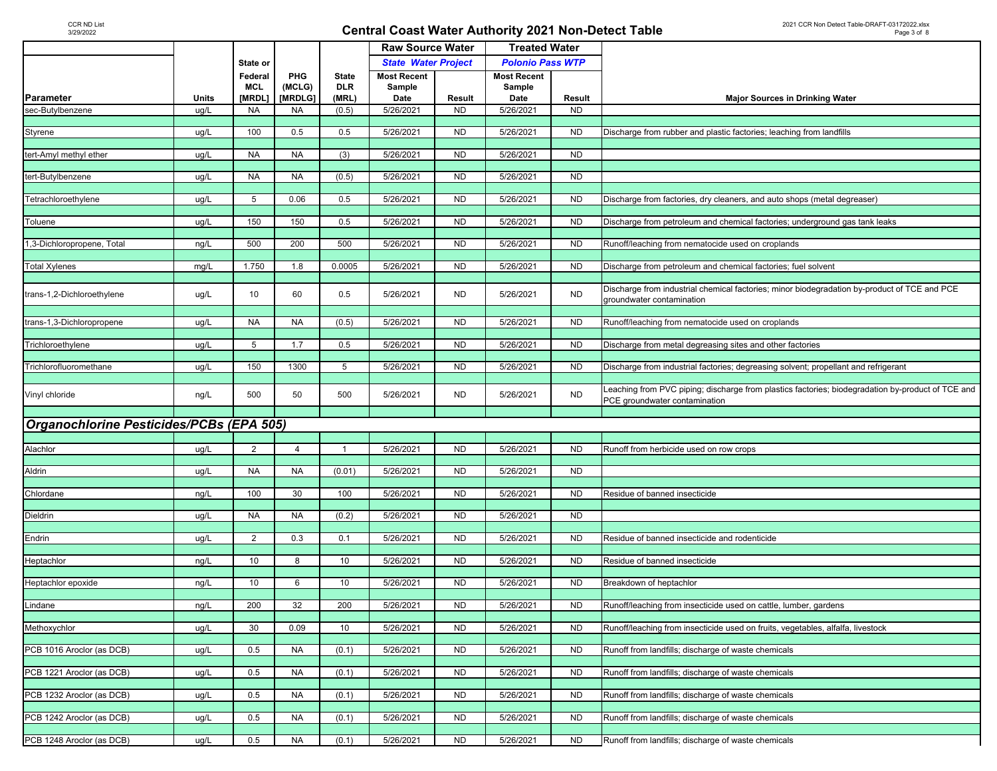|                                          |       |                                 |                          |                                     |                                      | <b>Raw Source Water</b><br><b>Treated Water</b> |                                      |           |                                                                                                                                    |  |
|------------------------------------------|-------|---------------------------------|--------------------------|-------------------------------------|--------------------------------------|-------------------------------------------------|--------------------------------------|-----------|------------------------------------------------------------------------------------------------------------------------------------|--|
|                                          |       | State or                        |                          |                                     | <b>State Water Project</b>           |                                                 | <b>Polonio Pass WTP</b>              |           |                                                                                                                                    |  |
| Parameter                                | Units | Federal<br><b>MCL</b><br>[MRDL] | PHG<br>(MCLG)<br>[MRDLG] | <b>State</b><br><b>DLR</b><br>(MRL) | <b>Most Recent</b><br>Sample<br>Date | Result                                          | <b>Most Recent</b><br>Sample<br>Date | Result    | <b>Major Sources in Drinking Water</b>                                                                                             |  |
| sec-Butylbenzene                         | ug/L  | <b>NA</b>                       | <b>NA</b>                | (0.5)                               | 5/26/2021                            | <b>ND</b>                                       | 5/26/2021                            | ND.       |                                                                                                                                    |  |
|                                          |       |                                 |                          |                                     |                                      |                                                 |                                      |           |                                                                                                                                    |  |
| Styrene                                  | ug/L  | 100                             | 0.5                      | 0.5                                 | 5/26/2021                            | <b>ND</b>                                       | 5/26/2021                            | <b>ND</b> | Discharge from rubber and plastic factories; leaching from landfills                                                               |  |
| tert-Amyl methyl ether                   | ug/L  | <b>NA</b>                       | <b>NA</b>                | (3)                                 | $\overline{5/26/2021}$               | <b>ND</b>                                       | 5/26/2021                            | <b>ND</b> |                                                                                                                                    |  |
|                                          |       |                                 |                          |                                     |                                      |                                                 |                                      |           |                                                                                                                                    |  |
| tert-Butylbenzene                        | ug/L  | <b>NA</b>                       | <b>NA</b>                | (0.5)                               | 5/26/2021                            | <b>ND</b>                                       | 5/26/2021                            | <b>ND</b> |                                                                                                                                    |  |
| Tetrachloroethylene                      | ug/L  | 5                               | 0.06                     | 0.5                                 | 5/26/2021                            | <b>ND</b>                                       | 5/26/2021                            | <b>ND</b> | Discharge from factories, dry cleaners, and auto shops (metal degreaser)                                                           |  |
|                                          |       |                                 |                          |                                     |                                      |                                                 |                                      |           |                                                                                                                                    |  |
| Toluene                                  | ug/L  | 150                             | 150                      | 0.5                                 | 5/26/2021                            | <b>ND</b>                                       | 5/26/2021                            | <b>ND</b> | Discharge from petroleum and chemical factories; underground gas tank leaks                                                        |  |
| 1,3-Dichloropropene, Total               | ng/L  | 500                             | 200                      | 500                                 | 5/26/2021                            | <b>ND</b>                                       | 5/26/2021                            | <b>ND</b> | Runoff/leaching from nematocide used on croplands                                                                                  |  |
|                                          |       |                                 |                          |                                     |                                      |                                                 |                                      |           |                                                                                                                                    |  |
| <b>Total Xylenes</b>                     | mg/L  | 1.750                           | 1.8                      | 0.0005                              | 5/26/2021                            | <b>ND</b>                                       | 5/26/2021                            | <b>ND</b> | Discharge from petroleum and chemical factories; fuel solvent                                                                      |  |
|                                          |       |                                 |                          |                                     |                                      |                                                 |                                      |           | Discharge from industrial chemical factories; minor biodegradation by-product of TCE and PCE                                       |  |
| trans-1,2-Dichloroethylene               | ug/L  | 10                              | 60                       | 0.5                                 | 5/26/2021                            | <b>ND</b>                                       | 5/26/2021                            | <b>ND</b> | groundwater contamination                                                                                                          |  |
|                                          |       |                                 |                          |                                     |                                      |                                                 |                                      |           |                                                                                                                                    |  |
| trans-1,3-Dichloropropene                | ug/L  | <b>NA</b>                       | <b>NA</b>                | (0.5)                               | 5/26/2021                            | <b>ND</b>                                       | 5/26/2021                            | ND        | Runoff/leaching from nematocide used on croplands                                                                                  |  |
| Trichloroethylene                        | ug/L  | 5                               | 1.7                      | 0.5                                 | 5/26/2021                            | <b>ND</b>                                       | 5/26/2021                            | ND.       | Discharge from metal degreasing sites and other factories                                                                          |  |
|                                          |       |                                 |                          |                                     |                                      |                                                 |                                      |           |                                                                                                                                    |  |
| Trichlorofluoromethane                   | ug/L  | 150                             | 1300                     | 5                                   | 5/26/2021                            | <b>ND</b>                                       | 5/26/2021                            | <b>ND</b> | Discharge from industrial factories; degreasing solvent; propellant and refrigerant                                                |  |
| Vinyl chloride                           | ng/L  | 500                             | 50                       | 500                                 | 5/26/2021                            | <b>ND</b>                                       | 5/26/2021                            | <b>ND</b> | Leaching from PVC piping; discharge from plastics factories; biodegradation by-product of TCE and<br>PCE groundwater contamination |  |
|                                          |       |                                 |                          |                                     |                                      |                                                 |                                      |           |                                                                                                                                    |  |
| Organochlorine Pesticides/PCBs (EPA 505) |       |                                 |                          |                                     |                                      |                                                 |                                      |           |                                                                                                                                    |  |
| Alachlor                                 | ug/L  | 2                               | 4                        |                                     | 5/26/2021                            | <b>ND</b>                                       | 5/26/2021                            | <b>ND</b> | Runoff from herbicide used on row crops                                                                                            |  |
|                                          |       |                                 |                          |                                     |                                      |                                                 |                                      |           |                                                                                                                                    |  |
| Aldrin                                   | ug/L  | <b>NA</b>                       | <b>NA</b>                | (0.01)                              | 5/26/2021                            | <b>ND</b>                                       | 5/26/2021                            | <b>ND</b> |                                                                                                                                    |  |
| Chlordane                                | ng/L  | 100                             | 30                       | 100                                 | 5/26/2021                            | <b>ND</b>                                       | 5/26/2021                            | <b>ND</b> | Residue of banned insecticide                                                                                                      |  |
|                                          |       |                                 |                          |                                     |                                      |                                                 |                                      |           |                                                                                                                                    |  |
| Dieldrin                                 | ug/L  | <b>NA</b>                       | <b>NA</b>                | (0.2)                               | 5/26/2021                            | <b>ND</b>                                       | 5/26/2021                            | <b>ND</b> |                                                                                                                                    |  |
| Endrin                                   | ug/L  | 2                               | 0.3                      | 0.1                                 | 5/26/2021                            | <b>ND</b>                                       | 5/26/2021                            | <b>ND</b> | Residue of banned insecticide and rodenticide                                                                                      |  |
|                                          |       |                                 |                          |                                     |                                      |                                                 |                                      |           |                                                                                                                                    |  |
| Heptachlor                               | ng/L  | 10                              | 8                        | 10                                  | 5/26/2021                            | N <sub>D</sub>                                  | 5/26/2021                            | <b>ND</b> | Residue of banned insecticide                                                                                                      |  |
| Heptachlor epoxide                       | ng/L  | 10                              | 6                        | 10                                  | 5/26/2021                            | <b>ND</b>                                       | 5/26/2021                            | <b>ND</b> | Breakdown of heptachlor                                                                                                            |  |
|                                          |       |                                 |                          |                                     |                                      |                                                 |                                      |           |                                                                                                                                    |  |
| Lindane                                  | ng/L  | 200                             | 32                       | 200                                 | 5/26/2021                            | <b>ND</b>                                       | 5/26/2021                            | ND.       | Runoff/leaching from insecticide used on cattle, lumber, gardens                                                                   |  |
| Methoxychlor                             | ug/L  | 30                              | 0.09                     | 10                                  | 5/26/2021                            | <b>ND</b>                                       | 5/26/2021                            | <b>ND</b> | Runoff/leaching from insecticide used on fruits, vegetables, alfalfa, livestock                                                    |  |
|                                          |       |                                 |                          |                                     |                                      |                                                 |                                      |           |                                                                                                                                    |  |
| PCB 1016 Aroclor (as DCB)                | ug/L  | 0.5                             | <b>NA</b>                | (0.1)                               | 5/26/2021                            | <b>ND</b>                                       | 5/26/2021                            | <b>ND</b> | Runoff from landfills; discharge of waste chemicals                                                                                |  |
| PCB 1221 Aroclor (as DCB)                | ug/L  | 0.5                             | <b>NA</b>                | (0.1)                               | 5/26/2021                            | <b>ND</b>                                       | 5/26/2021                            | <b>ND</b> | Runoff from landfills; discharge of waste chemicals                                                                                |  |
|                                          |       |                                 |                          |                                     |                                      |                                                 |                                      |           |                                                                                                                                    |  |
| PCB 1232 Aroclor (as DCB)                | ug/L  | 0.5                             | <b>NA</b>                | (0.1)                               | 5/26/2021                            | <b>ND</b>                                       | 5/26/2021                            | <b>ND</b> | Runoff from landfills; discharge of waste chemicals                                                                                |  |
|                                          |       |                                 |                          |                                     |                                      |                                                 |                                      |           |                                                                                                                                    |  |
| PCB 1242 Aroclor (as DCB)                | ug/L  | 0.5                             | <b>NA</b>                | (0.1)                               | 5/26/2021                            | <b>ND</b>                                       | 5/26/2021                            | <b>ND</b> | Runoff from landfills; discharge of waste chemicals                                                                                |  |
| PCB 1248 Aroclor (as DCB)                | ug/L  | 0.5                             | <b>NA</b>                | (0.1)                               | 5/26/2021                            | <b>ND</b>                                       | 5/26/2021                            | <b>ND</b> | Runoff from landfills; discharge of waste chemicals                                                                                |  |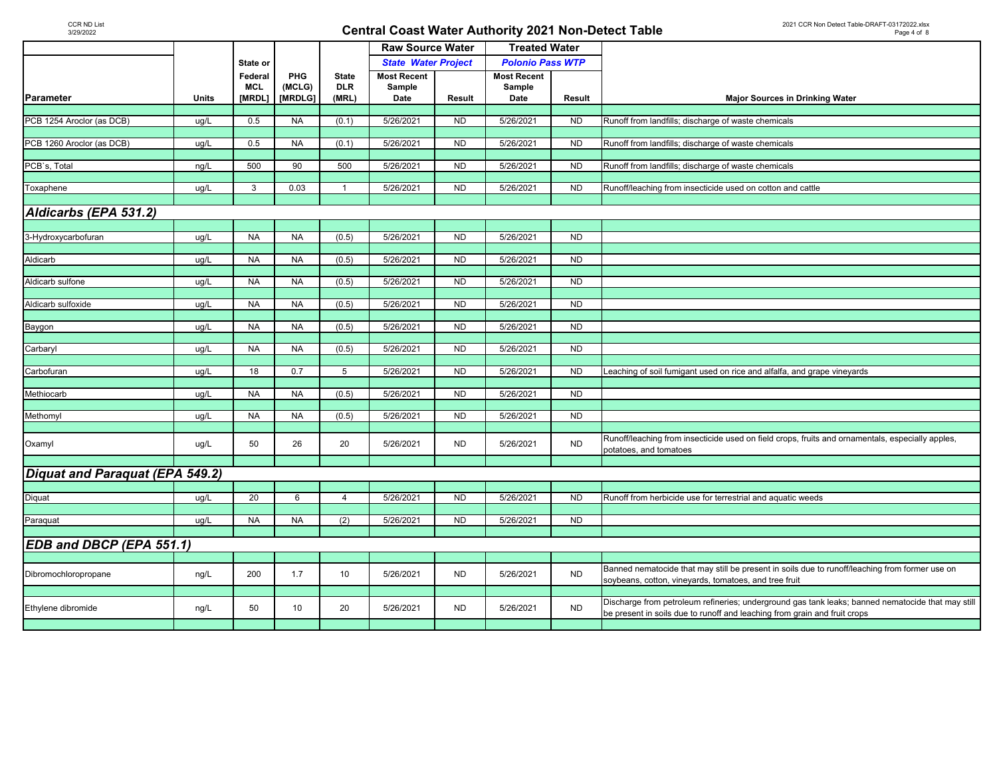|                                 |       | State or   |           |                | <b>Raw Source Water</b>    |                | <b>Treated Water</b>    |                |                                                                                                   |
|---------------------------------|-------|------------|-----------|----------------|----------------------------|----------------|-------------------------|----------------|---------------------------------------------------------------------------------------------------|
|                                 |       |            |           |                | <b>State Water Project</b> |                | <b>Polonio Pass WTP</b> |                |                                                                                                   |
|                                 |       | Federal    | PHG       | <b>State</b>   | <b>Most Recent</b>         |                | <b>Most Recent</b>      |                |                                                                                                   |
|                                 |       | <b>MCL</b> | (MCLG)    | <b>DLR</b>     | Sample                     |                | Sample                  |                |                                                                                                   |
| Parameter                       | Units | [MRDL]     | [MRDLG]   | (MRL)          | Date                       | Result         | Date                    | Result         | <b>Major Sources in Drinking Water</b>                                                            |
|                                 |       |            |           |                |                            |                |                         |                |                                                                                                   |
| PCB 1254 Aroclor (as DCB)       | ug/L  | 0.5        | <b>NA</b> | (0.1)          | 5/26/2021                  | <b>ND</b>      | 5/26/2021               | <b>ND</b>      | Runoff from landfills; discharge of waste chemicals                                               |
|                                 |       |            |           |                |                            |                |                         |                |                                                                                                   |
| PCB 1260 Aroclor (as DCB)       | ug/L  | 0.5        | <b>NA</b> | (0.1)          | 5/26/2021                  | <b>ND</b>      | 5/26/2021               | ND             | Runoff from landfills; discharge of waste chemicals                                               |
|                                 |       |            |           |                |                            |                |                         |                |                                                                                                   |
| PCB's, Total                    | ng/L  | 500        | 90        | 500            | 5/26/2021                  | <b>ND</b>      | 5/26/2021               | <b>ND</b>      | Runoff from landfills; discharge of waste chemicals                                               |
|                                 |       |            |           |                |                            |                |                         |                |                                                                                                   |
| Toxaphene                       | ug/L  | 3          | 0.03      | $\mathbf{1}$   | 5/26/2021                  | <b>ND</b>      | 5/26/2021               | <b>ND</b>      | Runoff/leaching from insecticide used on cotton and cattle                                        |
|                                 |       |            |           |                |                            |                |                         |                |                                                                                                   |
| Aldicarbs (EPA 531.2)           |       |            |           |                |                            |                |                         |                |                                                                                                   |
|                                 |       |            |           |                |                            |                |                         |                |                                                                                                   |
| 3-Hydroxycarbofuran             | ug/L  | <b>NA</b>  | <b>NA</b> | (0.5)          | 5/26/2021                  | <b>ND</b>      | 5/26/2021               | <b>ND</b>      |                                                                                                   |
|                                 |       |            |           |                |                            |                |                         |                |                                                                                                   |
| Aldicarb                        | ug/L  | <b>NA</b>  | <b>NA</b> | (0.5)          | 5/26/2021                  | <b>ND</b>      | 5/26/2021               | ND             |                                                                                                   |
|                                 |       |            |           |                |                            |                |                         |                |                                                                                                   |
| Aldicarb sulfone                | ug/L  | <b>NA</b>  | <b>NA</b> | (0.5)          | 5/26/2021                  | N <sub>D</sub> | 5/26/2021               | <b>ND</b>      |                                                                                                   |
|                                 |       |            |           |                |                            |                |                         |                |                                                                                                   |
| Aldicarb sulfoxide              | ug/L  | <b>NA</b>  | <b>NA</b> | (0.5)          | 5/26/2021                  | <b>ND</b>      | 5/26/2021               | <b>ND</b>      |                                                                                                   |
|                                 |       |            |           |                |                            |                |                         |                |                                                                                                   |
| Baygon                          | ug/L  | <b>NA</b>  | <b>NA</b> | (0.5)          | 5/26/2021                  | <b>ND</b>      | 5/26/2021               | <b>ND</b>      |                                                                                                   |
|                                 |       |            |           |                |                            |                |                         |                |                                                                                                   |
| Carbaryl                        | ug/L  | <b>NA</b>  | <b>NA</b> | (0.5)          | 5/26/2021                  | <b>ND</b>      | 5/26/2021               | <b>ND</b>      |                                                                                                   |
|                                 |       |            |           |                |                            |                |                         |                |                                                                                                   |
| Carbofuran                      | ug/L  | 18         | 0.7       | 5              | 5/26/2021                  | <b>ND</b>      | 5/26/2021               | <b>ND</b>      | Leaching of soil fumigant used on rice and alfalfa, and grape vineyards                           |
|                                 |       |            |           |                |                            |                |                         |                |                                                                                                   |
| Methiocarb                      | ug/L  | <b>NA</b>  | <b>NA</b> | (0.5)          | 5/26/2021                  | <b>ND</b>      | 5/26/2021               | <b>ND</b>      |                                                                                                   |
|                                 |       |            |           |                |                            |                |                         |                |                                                                                                   |
| Methomyl                        | ug/L  | <b>NA</b>  | <b>NA</b> | (0.5)          | 5/26/2021                  | <b>ND</b>      | 5/26/2021               | <b>ND</b>      |                                                                                                   |
|                                 |       |            |           |                |                            |                |                         |                |                                                                                                   |
|                                 |       | 50         | 26        | 20             | 5/26/2021                  | <b>ND</b>      | 5/26/2021               | <b>ND</b>      | Runoff/leaching from insecticide used on field crops, fruits and ornamentals, especially apples,  |
| Oxamyl                          | ug/L  |            |           |                |                            |                |                         |                | potatoes, and tomatoes                                                                            |
|                                 |       |            |           |                |                            |                |                         |                |                                                                                                   |
| Diquat and Paraquat (EPA 549.2) |       |            |           |                |                            |                |                         |                |                                                                                                   |
|                                 |       |            |           |                |                            |                |                         |                |                                                                                                   |
| Diquat                          | ug/L  | 20         | 6         | $\overline{4}$ | 5/26/2021                  | <b>ND</b>      | 5/26/2021               | N <sub>D</sub> | Runoff from herbicide use for terrestrial and aquatic weeds                                       |
|                                 |       |            |           |                |                            |                |                         |                |                                                                                                   |
| Paraquat                        | ug/L  | <b>NA</b>  | <b>NA</b> | (2)            | 5/26/2021                  | <b>ND</b>      | 5/26/2021               | <b>ND</b>      |                                                                                                   |
|                                 |       |            |           |                |                            |                |                         |                |                                                                                                   |
| EDB and DBCP (EPA 551.1)        |       |            |           |                |                            |                |                         |                |                                                                                                   |
|                                 |       |            |           |                |                            |                |                         |                |                                                                                                   |
|                                 |       |            |           |                |                            |                |                         |                | Banned nematocide that may still be present in soils due to runoff/leaching from former use on    |
| Dibromochloropropane            | ng/L  | 200        | 1.7       | 10             | 5/26/2021                  | <b>ND</b>      | 5/26/2021               | <b>ND</b>      | soybeans, cotton, vineyards, tomatoes, and tree fruit                                             |
|                                 |       |            |           |                |                            |                |                         |                |                                                                                                   |
|                                 |       |            |           |                |                            |                |                         |                | Discharge from petroleum refineries; underground gas tank leaks; banned nematocide that may still |
| Ethylene dibromide              | ng/L  | 50         | 10        | 20             | 5/26/2021                  | <b>ND</b>      | 5/26/2021               | <b>ND</b>      | be present in soils due to runoff and leaching from grain and fruit crops                         |
|                                 |       |            |           |                |                            |                |                         |                |                                                                                                   |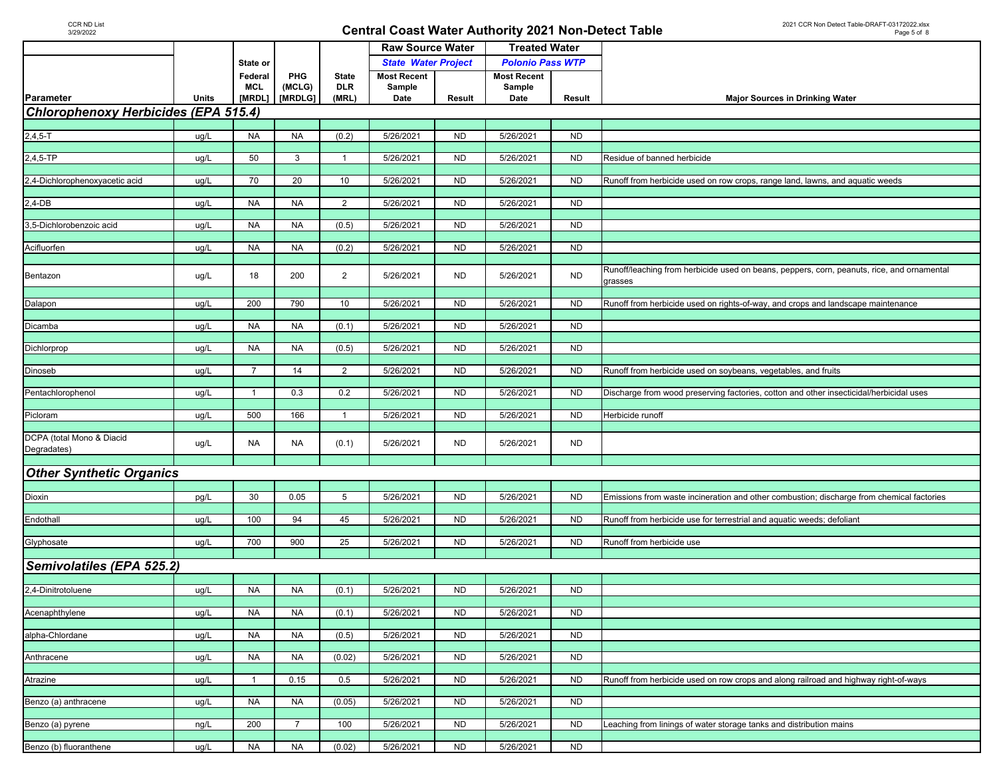|                                             |              |                |                |                | <b>Raw Source Water</b>    |                | <b>Treated Water</b>    |                |                                                                                            |  |  |
|---------------------------------------------|--------------|----------------|----------------|----------------|----------------------------|----------------|-------------------------|----------------|--------------------------------------------------------------------------------------------|--|--|
|                                             |              | State or       |                |                | <b>State Water Project</b> |                | <b>Polonio Pass WTP</b> |                |                                                                                            |  |  |
|                                             |              | Federal        | PHG            | <b>State</b>   | <b>Most Recent</b>         |                | <b>Most Recent</b>      |                |                                                                                            |  |  |
|                                             |              | <b>MCL</b>     | (MCLG)         | <b>DLR</b>     | Sample                     |                | Sample                  |                |                                                                                            |  |  |
| Parameter                                   | <b>Units</b> | [MRDL]         | [MRDLG]        | (MRL)          | Date                       | Result         | Date                    | Result         | <b>Major Sources in Drinking Water</b>                                                     |  |  |
| <b>Chlorophenoxy Herbicides (EPA 515.4)</b> |              |                |                |                |                            |                |                         |                |                                                                                            |  |  |
| $2,4,5-T$                                   | ug/L         | <b>NA</b>      | <b>NA</b>      | (0.2)          | 5/26/2021                  | <b>ND</b>      | 5/26/2021               | <b>ND</b>      |                                                                                            |  |  |
|                                             |              |                |                |                |                            |                |                         |                |                                                                                            |  |  |
| 2,4,5-TP                                    | ug/L         | 50             | 3              | $\mathbf{1}$   | 5/26/2021                  | <b>ND</b>      | 5/26/2021               | <b>ND</b>      | Residue of banned herbicide                                                                |  |  |
|                                             |              |                |                |                |                            |                |                         |                |                                                                                            |  |  |
| 2,4-Dichlorophenoxyacetic acid              | ug/L         | 70             | 20             | 10             | 5/26/2021                  | N <sub>D</sub> | 5/26/2021               | <b>ND</b>      | Runoff from herbicide used on row crops, range land, lawns, and aquatic weeds              |  |  |
| 2,4-DB                                      | ug/L         | <b>NA</b>      | <b>NA</b>      | $\overline{2}$ | 5/26/2021                  | <b>ND</b>      | 5/26/2021               | <b>ND</b>      |                                                                                            |  |  |
|                                             |              |                |                |                |                            |                |                         |                |                                                                                            |  |  |
| 3,5-Dichlorobenzoic acid                    | ug/L         | <b>NA</b>      | <b>NA</b>      | (0.5)          | 5/26/2021                  | N <sub>D</sub> | 5/26/2021               | N <sub>D</sub> |                                                                                            |  |  |
|                                             |              |                |                |                |                            |                |                         |                |                                                                                            |  |  |
| Acifluorfen                                 | ug/L         | <b>NA</b>      | <b>NA</b>      | (0.2)          | 5/26/2021                  | <b>ND</b>      | 5/26/2021               | <b>ND</b>      |                                                                                            |  |  |
|                                             |              |                |                |                |                            |                |                         |                | Runoff/leaching from herbicide used on beans, peppers, corn, peanuts, rice, and ornamental |  |  |
| Bentazon                                    | ug/L         | 18             | 200            | $\overline{2}$ | 5/26/2021                  | <b>ND</b>      | 5/26/2021               | <b>ND</b>      | grasses                                                                                    |  |  |
|                                             |              |                |                |                |                            |                |                         |                |                                                                                            |  |  |
| <b>Dalapon</b>                              | ug/L         | 200            | 790            | 10             | 5/26/2021                  | <b>ND</b>      | 5/26/2021               | <b>ND</b>      | Runoff from herbicide used on rights-of-way, and crops and landscape maintenance           |  |  |
|                                             |              |                |                |                |                            |                |                         |                |                                                                                            |  |  |
| Dicamba                                     | ug/L         | <b>NA</b>      | <b>NA</b>      | (0.1)          | 5/26/2021                  | <b>ND</b>      | 5/26/2021               | <b>ND</b>      |                                                                                            |  |  |
| Dichlorprop                                 | ug/L         | <b>NA</b>      | <b>NA</b>      | (0.5)          | 5/26/2021                  | N <sub>D</sub> | 5/26/2021               | <b>ND</b>      |                                                                                            |  |  |
|                                             |              |                |                |                |                            |                |                         |                |                                                                                            |  |  |
| Dinoseb                                     | ug/L         | $\overline{7}$ | 14             | $\overline{2}$ | 5/26/2021                  | N <sub>D</sub> | 5/26/2021               | <b>ND</b>      | Runoff from herbicide used on soybeans, vegetables, and fruits                             |  |  |
|                                             |              |                |                |                |                            |                |                         |                |                                                                                            |  |  |
| Pentachlorophenol                           | ug/L         | $\overline{1}$ | 0.3            | 0.2            | 5/26/2021                  | <b>ND</b>      | 5/26/2021               | <b>ND</b>      | Discharge from wood preserving factories, cotton and other insecticidal/herbicidal uses    |  |  |
| Picloram                                    | ug/L         | 500            | 166            | $\overline{1}$ | 5/26/2021                  | <b>ND</b>      | 5/26/2021               | <b>ND</b>      | Herbicide runoff                                                                           |  |  |
|                                             |              |                |                |                |                            |                |                         |                |                                                                                            |  |  |
| DCPA (total Mono & Diacid                   |              | <b>NA</b>      | <b>NA</b>      | (0.1)          | 5/26/2021                  | <b>ND</b>      | 5/26/2021               | <b>ND</b>      |                                                                                            |  |  |
| Degradates)                                 | ug/L         |                |                |                |                            |                |                         |                |                                                                                            |  |  |
|                                             |              |                |                |                |                            |                |                         |                |                                                                                            |  |  |
| <b>Other Synthetic Organics</b>             |              |                |                |                |                            |                |                         |                |                                                                                            |  |  |
| Dioxin                                      | pg/L         | 30             | 0.05           | 5              | 5/26/2021                  | N <sub>D</sub> | 5/26/2021               | N <sub>D</sub> | Emissions from waste incineration and other combustion; discharge from chemical factories  |  |  |
|                                             |              |                |                |                |                            |                |                         |                |                                                                                            |  |  |
| Endothall                                   | ug/L         | 100            | 94             | 45             | 5/26/2021                  | <b>ND</b>      | 5/26/2021               | <b>ND</b>      | Runoff from herbicide use for terrestrial and aquatic weeds; defoliant                     |  |  |
|                                             |              |                |                |                |                            |                |                         |                |                                                                                            |  |  |
| Glyphosate                                  | ug/L         | 700            | 900            | 25             | 5/26/2021                  | N <sub>D</sub> | 5/26/2021               | <b>ND</b>      | Runoff from herbicide use                                                                  |  |  |
|                                             |              |                |                |                |                            |                |                         |                |                                                                                            |  |  |
| Semivolatiles (EPA 525.2)                   |              |                |                |                |                            |                |                         |                |                                                                                            |  |  |
| 2,4-Dinitrotoluene                          | ug/L         | <b>NA</b>      | <b>NA</b>      | (0.1)          | 5/26/2021                  | <b>ND</b>      | 5/26/2021               | <b>ND</b>      |                                                                                            |  |  |
|                                             |              |                |                |                |                            |                |                         |                |                                                                                            |  |  |
| Acenaphthylene                              | ug/L         | <b>NA</b>      | <b>NA</b>      | (0.1)          | 5/26/2021                  | <b>ND</b>      | 5/26/2021               | <b>ND</b>      |                                                                                            |  |  |
|                                             |              |                |                |                |                            |                |                         |                |                                                                                            |  |  |
| alpha-Chlordane                             | ug/L         | <b>NA</b>      | <b>NA</b>      | (0.5)          | 5/26/2021                  | <b>ND</b>      | 5/26/2021               | <b>ND</b>      |                                                                                            |  |  |
| Anthracene                                  | ug/L         | <b>NA</b>      | <b>NA</b>      | (0.02)         | 5/26/2021                  | <b>ND</b>      | 5/26/2021               | <b>ND</b>      |                                                                                            |  |  |
|                                             |              |                |                |                |                            |                |                         |                |                                                                                            |  |  |
| Atrazine                                    | ug/L         | $\overline{1}$ | 0.15           | 0.5            | 5/26/2021                  | <b>ND</b>      | 5/26/2021               | <b>ND</b>      | Runoff from herbicide used on row crops and along railroad and highway right-of-ways       |  |  |
|                                             |              |                |                |                |                            |                |                         |                |                                                                                            |  |  |
| Benzo (a) anthracene                        | ug/L         | <b>NA</b>      | <b>NA</b>      | (0.05)         | 5/26/2021                  | <b>ND</b>      | 5/26/2021               | <b>ND</b>      |                                                                                            |  |  |
|                                             |              | 200            | $\overline{7}$ | 100            | 5/26/2021                  | <b>ND</b>      | 5/26/2021               | <b>ND</b>      |                                                                                            |  |  |
| Benzo (a) pyrene                            | ng/L         |                |                |                |                            |                |                         |                | Leaching from linings of water storage tanks and distribution mains                        |  |  |
| Benzo (b) fluoranthene                      | ug/L         | <b>NA</b>      | NA             | (0.02)         | 5/26/2021                  | <b>ND</b>      | 5/26/2021               | <b>ND</b>      |                                                                                            |  |  |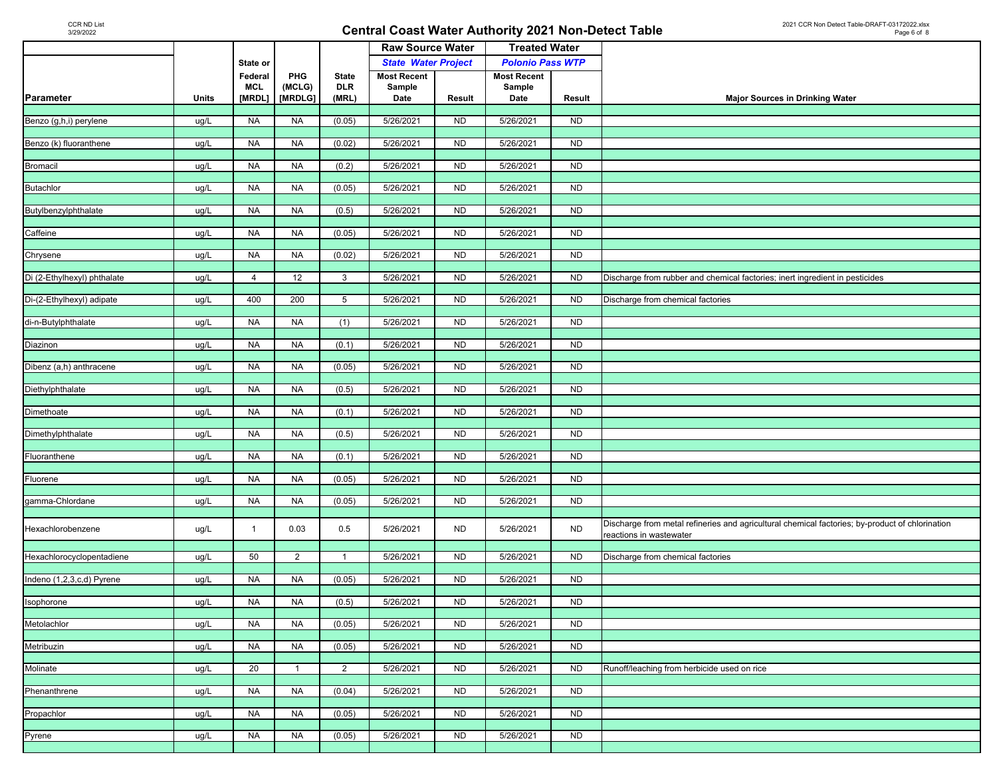|                             |              |                |                |              | <b>Raw Source Water</b>    |                | <b>Treated Water</b>    |           |                                                                                                 |
|-----------------------------|--------------|----------------|----------------|--------------|----------------------------|----------------|-------------------------|-----------|-------------------------------------------------------------------------------------------------|
|                             |              | State or       |                |              | <b>State Water Project</b> |                | <b>Polonio Pass WTP</b> |           |                                                                                                 |
|                             |              | Federal        | PHG            | <b>State</b> | <b>Most Recent</b>         |                | <b>Most Recent</b>      |           |                                                                                                 |
|                             |              | <b>MCL</b>     | (MCLG)         | <b>DLR</b>   | Sample                     |                | Sample                  |           |                                                                                                 |
| Parameter                   | <b>Units</b> | [MRDL]         | [MRDLG]        | (MRL)        | Date                       | Result         | Date                    | Result    | <b>Major Sources in Drinking Water</b>                                                          |
|                             |              |                |                |              |                            |                |                         |           |                                                                                                 |
| Benzo (g,h,i) perylene      | ug/L         | <b>NA</b>      | <b>NA</b>      | (0.05)       | 5/26/2021                  | N <sub>D</sub> | 5/26/2021               | <b>ND</b> |                                                                                                 |
| Benzo (k) fluoranthene      | ug/L         | <b>NA</b>      | <b>NA</b>      | (0.02)       | 5/26/2021                  | <b>ND</b>      | 5/26/2021               | <b>ND</b> |                                                                                                 |
|                             |              |                |                |              |                            |                |                         |           |                                                                                                 |
| Bromacil                    | ug/L         | <b>NA</b>      | <b>NA</b>      | (0.2)        | 5/26/2021                  | N <sub>D</sub> | 5/26/2021               | ND        |                                                                                                 |
|                             |              |                |                |              |                            |                |                         |           |                                                                                                 |
| <b>Butachlor</b>            | ug/L         | <b>NA</b>      | <b>NA</b>      | (0.05)       | 5/26/2021                  | N <sub>D</sub> | 5/26/2021               | <b>ND</b> |                                                                                                 |
|                             |              |                |                |              |                            |                |                         |           |                                                                                                 |
| Butylbenzylphthalate        | ug/L         | <b>NA</b>      | <b>NA</b>      | (0.5)        | 5/26/2021                  | <b>ND</b>      | 5/26/2021               | <b>ND</b> |                                                                                                 |
| Caffeine                    | ug/L         | <b>NA</b>      | <b>NA</b>      | (0.05)       | 5/26/2021                  | <b>ND</b>      | 5/26/2021               | <b>ND</b> |                                                                                                 |
|                             |              |                |                |              |                            |                |                         |           |                                                                                                 |
| Chrysene                    | ug/L         | <b>NA</b>      | <b>NA</b>      | (0.02)       | 5/26/2021                  | <b>ND</b>      | 5/26/2021               | <b>ND</b> |                                                                                                 |
|                             |              |                |                |              |                            |                |                         |           |                                                                                                 |
| Di (2-Ethylhexyl) phthalate | ug/L         | $\overline{4}$ | 12             | 3            | 5/26/2021                  | <b>ND</b>      | 5/26/2021               | <b>ND</b> | Discharge from rubber and chemical factories; inert ingredient in pesticides                    |
|                             |              |                |                |              |                            |                |                         |           |                                                                                                 |
| Di-(2-Ethylhexyl) adipate   | ug/L         | 400            | 200            | 5            | 5/26/2021                  | <b>ND</b>      | 5/26/2021               | <b>ND</b> | Discharge from chemical factories                                                               |
| di-n-Butylphthalate         | ug/L         | <b>NA</b>      | <b>NA</b>      | (1)          | 5/26/2021                  | N <sub>D</sub> | 5/26/2021               | <b>ND</b> |                                                                                                 |
|                             |              |                |                |              |                            |                |                         |           |                                                                                                 |
| Diazinon                    | ug/L         | <b>NA</b>      | <b>NA</b>      | (0.1)        | 5/26/2021                  | N <sub>D</sub> | 5/26/2021               | <b>ND</b> |                                                                                                 |
|                             |              |                |                |              |                            |                |                         |           |                                                                                                 |
| Dibenz (a,h) anthracene     | ug/L         | <b>NA</b>      | <b>NA</b>      | (0.05)       | 5/26/2021                  | <b>ND</b>      | 5/26/2021               | <b>ND</b> |                                                                                                 |
|                             |              |                |                |              |                            |                |                         |           |                                                                                                 |
| Diethylphthalate            | ug/L         | <b>NA</b>      | <b>NA</b>      | (0.5)        | 5/26/2021                  | <b>ND</b>      | 5/26/2021               | <b>ND</b> |                                                                                                 |
| Dimethoate                  | ug/L         | <b>NA</b>      | <b>NA</b>      | (0.1)        | 5/26/2021                  | <b>ND</b>      | 5/26/2021               | <b>ND</b> |                                                                                                 |
|                             |              |                |                |              |                            |                |                         |           |                                                                                                 |
| Dimethylphthalate           | ug/L         | <b>NA</b>      | <b>NA</b>      | (0.5)        | 5/26/2021                  | <b>ND</b>      | 5/26/2021               | <b>ND</b> |                                                                                                 |
|                             |              |                |                |              |                            |                |                         |           |                                                                                                 |
| Fluoranthene                | ug/L         | <b>NA</b>      | <b>NA</b>      | (0.1)        | 5/26/2021                  | <b>ND</b>      | 5/26/2021               | <b>ND</b> |                                                                                                 |
|                             |              |                |                |              | 5/26/2021                  | N <sub>D</sub> |                         | <b>ND</b> |                                                                                                 |
| Fluorene                    | ug/L         | <b>NA</b>      | <b>NA</b>      | (0.05)       |                            |                | 5/26/2021               |           |                                                                                                 |
| gamma-Chlordane             | ug/L         | <b>NA</b>      | <b>NA</b>      | (0.05)       | 5/26/2021                  | <b>ND</b>      | 5/26/2021               | <b>ND</b> |                                                                                                 |
|                             |              |                |                |              |                            |                |                         |           |                                                                                                 |
| Hexachlorobenzene           | ug/L         | $\overline{1}$ | 0.03           | 0.5          | 5/26/2021                  | <b>ND</b>      | 5/26/2021               | <b>ND</b> | Discharge from metal refineries and agricultural chemical factories; by-product of chlorination |
|                             |              |                |                |              |                            |                |                         |           | reactions in wastewater                                                                         |
|                             |              |                |                |              |                            |                |                         |           |                                                                                                 |
| Hexachlorocyclopentadiene   | ug/L         | 50             | 2              | $\mathbf{1}$ | 5/26/2021                  | <b>ND</b>      | 5/26/2021               | <b>ND</b> | Discharge from chemical factories                                                               |
| Indeno (1,2,3,c,d) Pyrene   | ug/L         | <b>NA</b>      | <b>NA</b>      | (0.05)       | 5/26/2021                  | <b>ND</b>      | 5/26/2021               | <b>ND</b> |                                                                                                 |
|                             |              |                |                |              |                            |                |                         |           |                                                                                                 |
| Isophorone                  | ug/L         | <b>NA</b>      | <b>NA</b>      | (0.5)        | 5/26/2021                  | N <sub>D</sub> | 5/26/2021               | <b>ND</b> |                                                                                                 |
|                             |              |                |                |              |                            |                |                         |           |                                                                                                 |
| Metolachlor                 | ug/L         | <b>NA</b>      | <b>NA</b>      | (0.05)       | 5/26/2021                  | <b>ND</b>      | 5/26/2021               | <b>ND</b> |                                                                                                 |
|                             |              |                |                |              |                            |                |                         |           |                                                                                                 |
| Metribuzin                  | ug/L         | <b>NA</b>      | NA             | (0.05)       | 5/26/2021                  | ND             | 5/26/2021               | <b>ND</b> |                                                                                                 |
| Molinate                    | ug/L         | 20             | $\overline{1}$ | 2            | 5/26/2021                  | <b>ND</b>      | 5/26/2021               | <b>ND</b> | Runoff/leaching from herbicide used on rice                                                     |
|                             |              |                |                |              |                            |                |                         |           |                                                                                                 |
| Phenanthrene                | ug/L         | <b>NA</b>      | <b>NA</b>      | (0.04)       | 5/26/2021                  | <b>ND</b>      | 5/26/2021               | <b>ND</b> |                                                                                                 |
|                             |              |                |                |              |                            |                |                         |           |                                                                                                 |
| Propachlor                  | ug/L         | <b>NA</b>      | <b>NA</b>      | (0.05)       | 5/26/2021                  | <b>ND</b>      | 5/26/2021               | <b>ND</b> |                                                                                                 |
|                             |              |                |                |              |                            |                |                         |           |                                                                                                 |
| Pyrene                      | ug/L         | <b>NA</b>      | <b>NA</b>      | (0.05)       | 5/26/2021                  | ND             | 5/26/2021               | <b>ND</b> |                                                                                                 |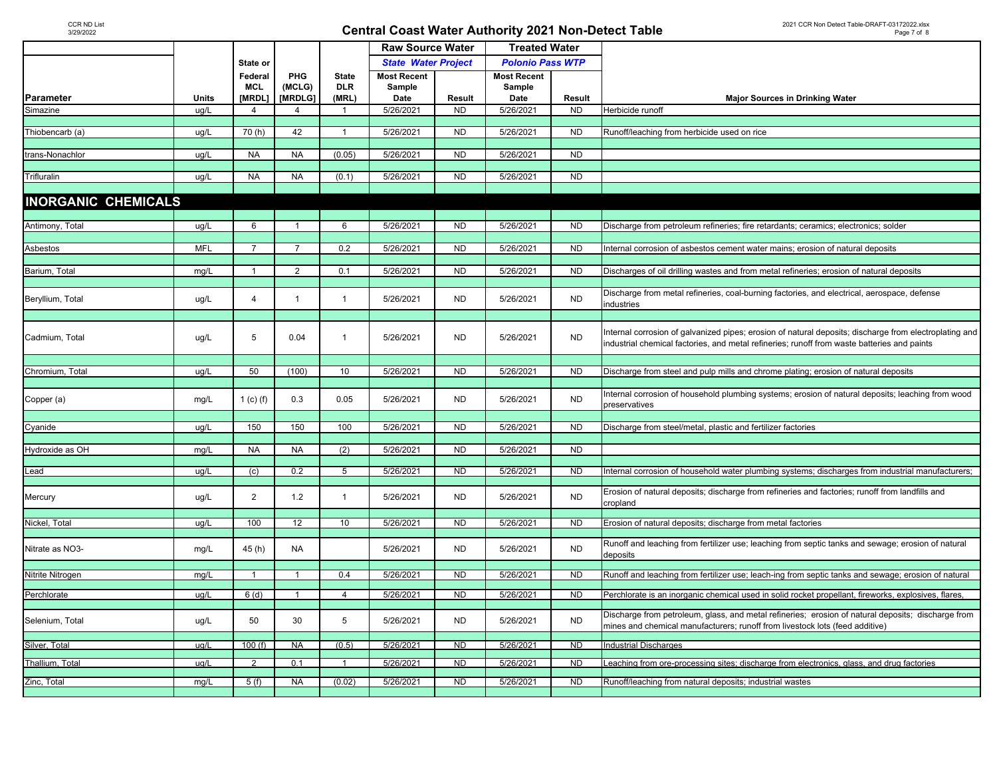|                            |              |                |                |                 | <b>Raw Source Water</b>    |                | <b>Treated Water</b>    |           |                                                                                                             |
|----------------------------|--------------|----------------|----------------|-----------------|----------------------------|----------------|-------------------------|-----------|-------------------------------------------------------------------------------------------------------------|
|                            |              | State or       |                |                 | <b>State Water Project</b> |                | <b>Polonio Pass WTP</b> |           |                                                                                                             |
|                            |              | Federal        | PHG            | <b>State</b>    | <b>Most Recent</b>         |                | <b>Most Recent</b>      |           |                                                                                                             |
|                            |              | <b>MCL</b>     | (MCLG)         | <b>DLR</b>      | Sample                     |                | Sample                  |           |                                                                                                             |
| Parameter                  | <b>Units</b> | [MRDL]         | [MRDLG]        | (MRL)           | Date                       | Result         | Date                    | Result    | <b>Major Sources in Drinking Water</b>                                                                      |
| Simazine                   | ug/L         | 4              | $\overline{4}$ | $\mathbf{1}$    | 5/26/2021                  | <b>ND</b>      | 5/26/2021               | <b>ND</b> | Herbicide runoff                                                                                            |
|                            |              |                |                |                 |                            |                |                         |           |                                                                                                             |
| Thiobencarb (a)            | ug/L         | 70(h)          | 42             | $\overline{1}$  | 5/26/2021                  | <b>ND</b>      | 5/26/2021               | <b>ND</b> | Runoff/leaching from herbicide used on rice                                                                 |
|                            |              |                |                |                 |                            |                |                         |           |                                                                                                             |
| trans-Nonachlor            | ug/L         | <b>NA</b>      | <b>NA</b>      | (0.05)          | 5/26/2021                  | <b>ND</b>      | 5/26/2021               | <b>ND</b> |                                                                                                             |
|                            |              |                |                |                 |                            |                |                         |           |                                                                                                             |
| Trifluralin                | ug/L         | <b>NA</b>      | <b>NA</b>      | (0.1)           | 5/26/2021                  | <b>ND</b>      | 5/26/2021               | <b>ND</b> |                                                                                                             |
|                            |              |                |                |                 |                            |                |                         |           |                                                                                                             |
| <b>INORGANIC CHEMICALS</b> |              |                |                |                 |                            |                |                         |           |                                                                                                             |
|                            |              |                |                |                 |                            |                |                         |           |                                                                                                             |
| Antimony, Total            | ug/L         | 6              |                | 6               | 5/26/2021                  | <b>ND</b>      | 5/26/2021               | <b>ND</b> | Discharge from petroleum refineries; fire retardants; ceramics; electronics; solder                         |
|                            | <b>MFL</b>   | $\overline{7}$ |                | 0.2             |                            |                |                         | <b>ND</b> |                                                                                                             |
| Asbestos                   |              |                | $\overline{7}$ |                 | 5/26/2021                  | <b>ND</b>      | 5/26/2021               |           | Internal corrosion of asbestos cement water mains; erosion of natural deposits                              |
| Barium, Total              | mg/L         | $\mathbf{1}$   | 2              | 0.1             | 5/26/2021                  | <b>ND</b>      | 5/26/2021               | <b>ND</b> | Discharges of oil drilling wastes and from metal refineries; erosion of natural deposits                    |
|                            |              |                |                |                 |                            |                |                         |           |                                                                                                             |
|                            |              |                |                |                 |                            |                |                         |           | Discharge from metal refineries, coal-burning factories, and electrical, aerospace, defense                 |
| Beryllium, Total           | ug/L         | $\overline{4}$ | $\mathbf{1}$   | $\mathbf{1}$    | 5/26/2021                  | <b>ND</b>      | 5/26/2021               | <b>ND</b> | ndustries                                                                                                   |
|                            |              |                |                |                 |                            |                |                         |           |                                                                                                             |
|                            |              |                |                |                 |                            |                |                         |           | Internal corrosion of galvanized pipes; erosion of natural deposits; discharge from electroplating and      |
| Cadmium, Total             | ug/L         | 5              | 0.04           | $\mathbf{1}$    | 5/26/2021                  | <b>ND</b>      | 5/26/2021               | <b>ND</b> | industrial chemical factories, and metal refineries; runoff from waste batteries and paints                 |
|                            |              |                |                |                 |                            |                |                         |           |                                                                                                             |
|                            |              |                |                |                 |                            |                |                         |           |                                                                                                             |
| Chromium, Total            | ug/L         | 50             | (100)          | 10 <sup>1</sup> | 5/26/2021                  | <b>ND</b>      | 5/26/2021               | <b>ND</b> | Discharge from steel and pulp mills and chrome plating; erosion of natural deposits                         |
|                            |              |                |                |                 |                            |                |                         |           | Internal corrosion of household plumbing systems; erosion of natural deposits; leaching from wood           |
| Copper (a)                 | mg/L         | 1 (c) (f)      | 0.3            | 0.05            | 5/26/2021                  | <b>ND</b>      | 5/26/2021               | <b>ND</b> | preservatives                                                                                               |
|                            |              |                |                |                 |                            |                |                         |           |                                                                                                             |
| Cyanide                    | ug/L         | 150            | 150            | 100             | 5/26/2021                  | <b>ND</b>      | 5/26/2021               | <b>ND</b> | Discharge from steel/metal, plastic and fertilizer factories                                                |
|                            |              |                |                |                 |                            |                |                         |           |                                                                                                             |
| Hydroxide as OH            | mg/L         | <b>NA</b>      | <b>NA</b>      | (2)             | 5/26/2021                  | <b>ND</b>      | 5/26/2021               | <b>ND</b> |                                                                                                             |
|                            |              |                |                |                 |                            |                |                         |           |                                                                                                             |
| Lead                       | ug/L         | (c)            | 0.2            | $5\overline{)}$ | 5/26/2021                  | <b>ND</b>      | 5/26/2021               | <b>ND</b> | Internal corrosion of household water plumbing systems; discharges from industrial manufacturers;           |
|                            |              |                |                |                 |                            |                |                         |           |                                                                                                             |
| Mercury                    | ug/L         | $\overline{2}$ | 1.2            | $\mathbf{1}$    | 5/26/2021                  | <b>ND</b>      | 5/26/2021               | <b>ND</b> | Erosion of natural deposits; discharge from refineries and factories; runoff from landfills and<br>cropland |
|                            |              |                |                |                 |                            |                |                         |           |                                                                                                             |
| Nickel, Total              | ug/L         | 100            | 12             | 10              | 5/26/2021                  | N <sub>D</sub> | 5/26/2021               | <b>ND</b> | Erosion of natural deposits; discharge from metal factories                                                 |
|                            |              |                |                |                 |                            |                |                         |           |                                                                                                             |
| Nitrate as NO3-            | mg/L         | 45(h)          | <b>NA</b>      |                 | 5/26/2021                  | <b>ND</b>      | 5/26/2021               | <b>ND</b> | Runoff and leaching from fertilizer use; leaching from septic tanks and sewage; erosion of natural          |
|                            |              |                |                |                 |                            |                |                         |           | deposits                                                                                                    |
| Nitrite Nitrogen           | mg/L         | $\overline{1}$ | $\overline{1}$ | 0.4             | 5/26/2021                  | <b>ND</b>      | 5/26/2021               | <b>ND</b> | Runoff and leaching from fertilizer use; leach-ing from septic tanks and sewage; erosion of natural         |
|                            |              |                |                |                 |                            |                |                         |           |                                                                                                             |
| Perchlorate                | ug/L         | 6(d)           | -1             | $\overline{4}$  | 5/26/2021                  | <b>ND</b>      | 5/26/2021               | <b>ND</b> | Perchlorate is an inorganic chemical used in solid rocket propellant, fireworks, explosives, flares,        |
|                            |              |                |                |                 |                            |                |                         |           |                                                                                                             |
| Selenium, Total            | ug/L         | 50             | 30             | 5               | 5/26/2021                  | <b>ND</b>      | 5/26/2021               | <b>ND</b> | Discharge from petroleum, glass, and metal refineries; erosion of natural deposits; discharge from          |
|                            |              |                |                |                 |                            |                |                         |           | mines and chemical manufacturers; runoff from livestock lots (feed additive)                                |
| Silver, Total              | ug/L         | 100(f)         | <b>NA</b>      | (0.5)           | 5/26/2021                  | <b>ND</b>      | 5/26/2021               | <b>ND</b> | <b>Industrial Discharges</b>                                                                                |
|                            |              |                |                |                 |                            |                |                         |           |                                                                                                             |
| Thallium, Total            | ug/L         | 2              | 0.1            | $\mathbf{1}$    | 5/26/2021                  | ND             | 5/26/2021               | <b>ND</b> | Leaching from ore-processing sites; discharge from electronics, glass, and drug factories                   |
| Zinc, Total                | mg/L         | 5(f)           | <b>NA</b>      | (0.02)          | 5/26/2021                  | ND             | 5/26/2021               | <b>ND</b> | Runoff/leaching from natural deposits; industrial wastes                                                    |
|                            |              |                |                |                 |                            |                |                         |           |                                                                                                             |